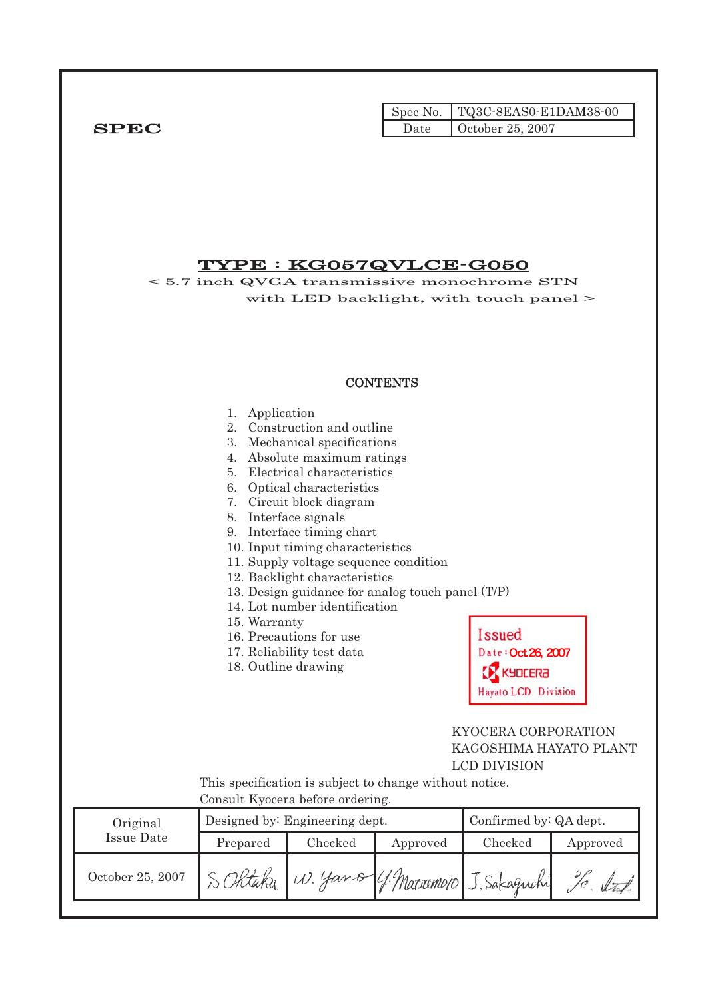|              |      | $\Gamma$ Spec No.   TQ3C-8EAS0-E1DAM38-00 |
|--------------|------|-------------------------------------------|
| ${\bf SPEC}$ | Date | $\vert$ October 25, 2007                  |

# TYPE : KG057QVLCE-G050

< 5.7 inch QVGA transmissive monochrome STN with LED backlight, with touch panel >

## **CONTENTS**

|                   | Application<br>1.<br>2.<br>3.<br>4.<br>7.<br>8. Interface signals<br>15. Warranty<br>18. Outline drawing | Construction and outline<br>Mechanical specifications<br>Absolute maximum ratings<br>5. Electrical characteristics<br>6. Optical characteristics<br>Circuit block diagram<br>9. Interface timing chart<br>10. Input timing characteristics<br>11. Supply voltage sequence condition<br>12. Backlight characteristics<br>14. Lot number identification<br>16. Precautions for use<br>17. Reliability test data | 13. Design guidance for analog touch panel (T/P)        | <b>Issued</b><br>Date: Oct 26, 2007<br><b>KYOCERA</b><br>Hayato LCD Division |          |
|-------------------|----------------------------------------------------------------------------------------------------------|---------------------------------------------------------------------------------------------------------------------------------------------------------------------------------------------------------------------------------------------------------------------------------------------------------------------------------------------------------------------------------------------------------------|---------------------------------------------------------|------------------------------------------------------------------------------|----------|
|                   | Consult Kyocera before ordering.                                                                         |                                                                                                                                                                                                                                                                                                                                                                                                               | This specification is subject to change without notice. | KYOCERA CORPORATION<br>KAGOSHIMA HAYATO PLANT<br><b>LCD DIVISION</b>         |          |
| Original          |                                                                                                          | Designed by: Engineering dept.                                                                                                                                                                                                                                                                                                                                                                                |                                                         | Confirmed by: QA dept.                                                       |          |
| <b>Issue Date</b> | Prepared                                                                                                 | Checked                                                                                                                                                                                                                                                                                                                                                                                                       | Approved                                                | Checked                                                                      | Approved |
| October 25, 2007  |                                                                                                          |                                                                                                                                                                                                                                                                                                                                                                                                               | 4 Matsumoto J. Sakaguchi                                |                                                                              |          |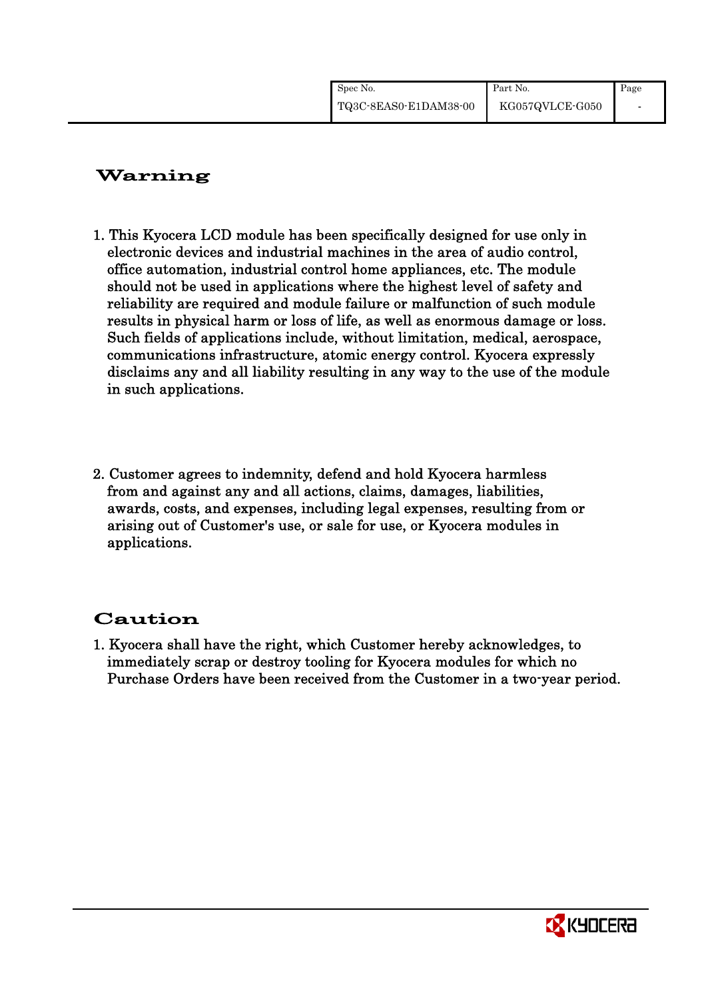| Spec No.              | Part No.        | Page |
|-----------------------|-----------------|------|
| TQ3C-8EAS0-E1DAM38-00 | KG057QVLCE-G050 |      |

# Warning

- 1. This Kyocera LCD module has been specifically designed for use only in electronic devices and industrial machines in the area of audio control, office automation, industrial control home appliances, etc. The module should not be used in applications where the highest level of safety and reliability are required and module failure or malfunction of such module results in physical harm or loss of life, as well as enormous damage or loss. Such fields of applications include, without limitation, medical, aerospace, communications infrastructure, atomic energy control. Kyocera expressly disclaims any and all liability resulting in any way to the use of the module in such applications.
- 2. Customer agrees to indemnity, defend and hold Kyocera harmless from and against any and all actions, claims, damages, liabilities, awards, costs, and expenses, including legal expenses, resulting from or arising out of Customer's use, or sale for use, or Kyocera modules in applications.

# Caution

1. Kyocera shall have the right, which Customer hereby acknowledges, to immediately scrap or destroy tooling for Kyocera modules for which no Purchase Orders have been received from the Customer in a two-year period.

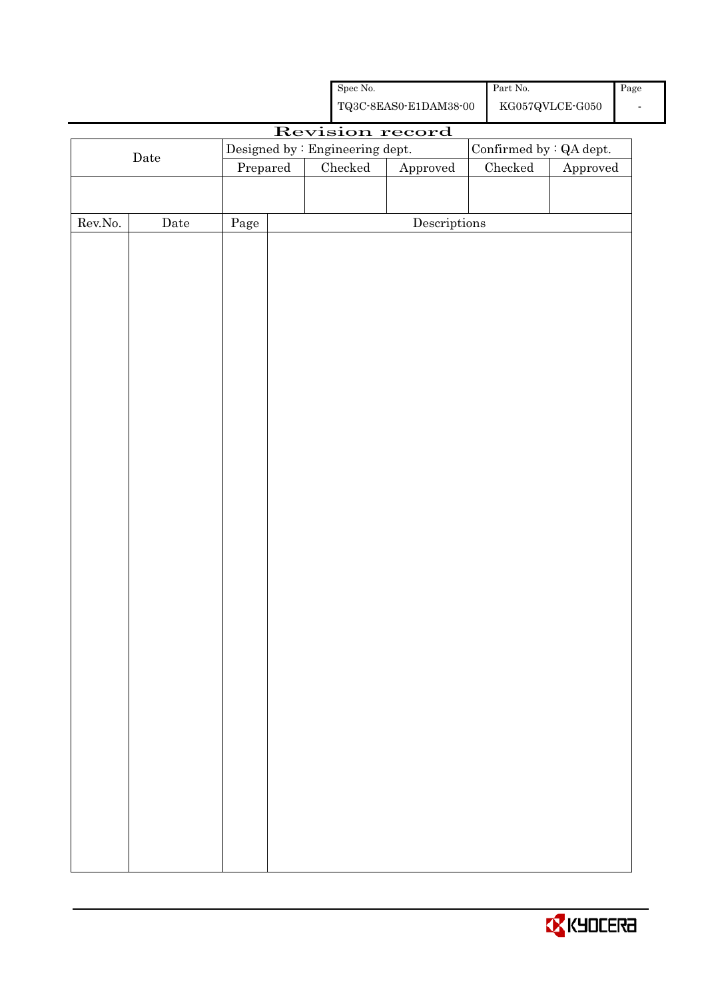|         |      |                                 | Spec No.      |                                                    | Part No.        |                                 | Page |
|---------|------|---------------------------------|---------------|----------------------------------------------------|-----------------|---------------------------------|------|
|         |      |                                 |               | ${\bf TQ3C\text{-}SEAS0\text{-}E1DAM38\text{-}00}$ |                 | ${\rm KG057Q VLCE\mbox{-}G050}$ |      |
|         |      |                                 |               | Revision record                                    |                 |                                 |      |
|         |      | Designed by : Engineering dept. |               |                                                    |                 | Confirmed by : QA dept.         |      |
|         | Date | Prepared                        | $\rm Checked$ | Approved                                           | ${\it Checked}$ | Approved                        |      |
|         |      |                                 |               |                                                    |                 |                                 |      |
|         |      |                                 |               |                                                    |                 |                                 |      |
| Rev.No. | Date | Page                            |               | $\label{eq:2} \textbf{Descriptions}$               |                 |                                 |      |
|         |      |                                 |               |                                                    |                 |                                 |      |
|         |      |                                 |               |                                                    |                 |                                 |      |
|         |      |                                 |               |                                                    |                 |                                 |      |
|         |      |                                 |               |                                                    |                 |                                 |      |
|         |      |                                 |               |                                                    |                 |                                 |      |
|         |      |                                 |               |                                                    |                 |                                 |      |
|         |      |                                 |               |                                                    |                 |                                 |      |
|         |      |                                 |               |                                                    |                 |                                 |      |
|         |      |                                 |               |                                                    |                 |                                 |      |
|         |      |                                 |               |                                                    |                 |                                 |      |
|         |      |                                 |               |                                                    |                 |                                 |      |
|         |      |                                 |               |                                                    |                 |                                 |      |
|         |      |                                 |               |                                                    |                 |                                 |      |
|         |      |                                 |               |                                                    |                 |                                 |      |
|         |      |                                 |               |                                                    |                 |                                 |      |
|         |      |                                 |               |                                                    |                 |                                 |      |
|         |      |                                 |               |                                                    |                 |                                 |      |
|         |      |                                 |               |                                                    |                 |                                 |      |
|         |      |                                 |               |                                                    |                 |                                 |      |
|         |      |                                 |               |                                                    |                 |                                 |      |
|         |      |                                 |               |                                                    |                 |                                 |      |
|         |      |                                 |               |                                                    |                 |                                 |      |
|         |      |                                 |               |                                                    |                 |                                 |      |
|         |      |                                 |               |                                                    |                 |                                 |      |
|         |      |                                 |               |                                                    |                 |                                 |      |
|         |      |                                 |               |                                                    |                 |                                 |      |
|         |      |                                 |               |                                                    |                 |                                 |      |
|         |      |                                 |               |                                                    |                 |                                 |      |
|         |      |                                 |               |                                                    |                 |                                 |      |
|         |      |                                 |               |                                                    |                 |                                 |      |
|         |      |                                 |               |                                                    |                 |                                 |      |
|         |      |                                 |               |                                                    |                 |                                 |      |
|         |      |                                 |               |                                                    |                 |                                 |      |
|         |      |                                 |               |                                                    |                 |                                 |      |

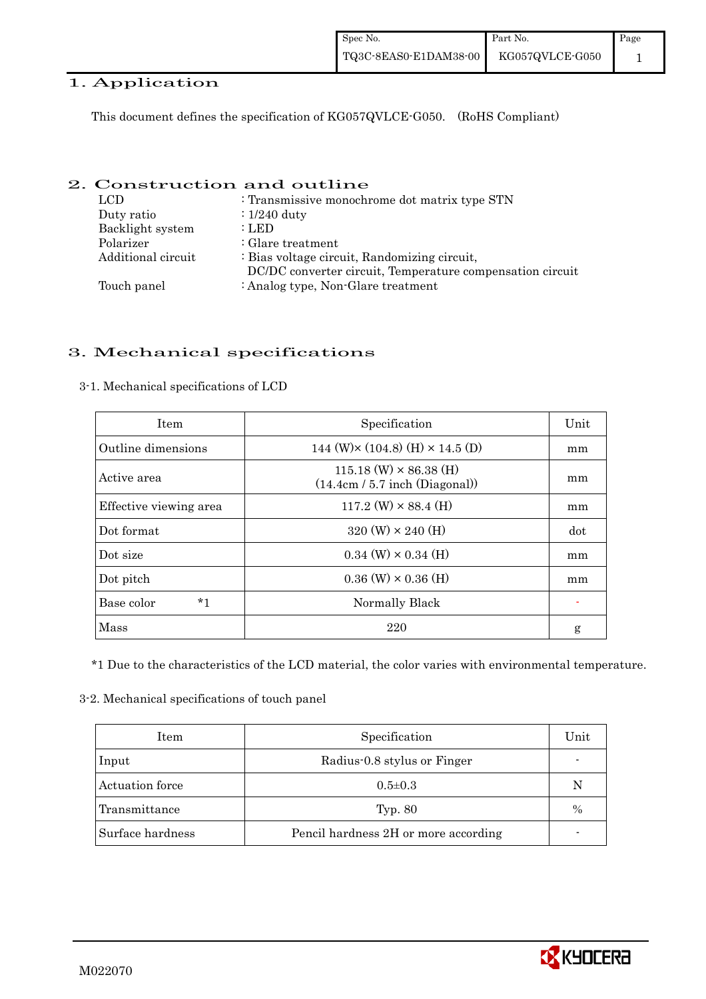### 1. Application

This document defines the specification of KG057QVLCE-G050. (RoHS Compliant)

### 2. Construction and outline

| LCD.               | : Transmissive monochrome dot matrix type STN             |
|--------------------|-----------------------------------------------------------|
| Duty ratio         | $: 1/240$ duty                                            |
| Backlight system   | : LED                                                     |
| Polarizer          | $\therefore$ Glare treatment                              |
| Additional circuit | : Bias voltage circuit, Randomizing circuit,              |
|                    | DC/DC converter circuit, Temperature compensation circuit |
| Touch panel        | : Analog type, Non-Glare treatment                        |

## 3. Mechanical specifications

| <b>Item</b>            | Specification                                                     | Unit |
|------------------------|-------------------------------------------------------------------|------|
| Outline dimensions     | 144 (W) $\times$ (104.8) (H) $\times$ 14.5 (D)                    | mm   |
| Active area            | $115.18$ (W) $\times$ 86.38 (H)<br>(14.4cm / 5.7 inch (Diagonal)) | mm   |
| Effective viewing area | $117.2$ (W) $\times$ 88.4 (H)                                     | mm   |
| Dot format             | $320 \text{ (W)} \times 240 \text{ (H)}$                          | dot  |
| Dot size               | $0.34$ (W) $\times$ 0.34 (H)                                      | mm   |
| Dot pitch              | $0.36$ (W) $\times$ 0.36 (H)                                      | mm   |
| Base color<br>$*1$     | Normally Black                                                    |      |
| Mass                   | 220                                                               | g    |

3-1. Mechanical specifications of LCD

\*1 Due to the characteristics of the LCD material, the color varies with environmental temperature.

### 3-2. Mechanical specifications of touch panel

| Item             | Specification                        | Unit |
|------------------|--------------------------------------|------|
| Input            | Radius-0.8 stylus or Finger          |      |
| Actuation force  | $0.5 \pm 0.3$                        | N    |
| Transmittance    | Typ. 80                              | $\%$ |
| Surface hardness | Pencil hardness 2H or more according |      |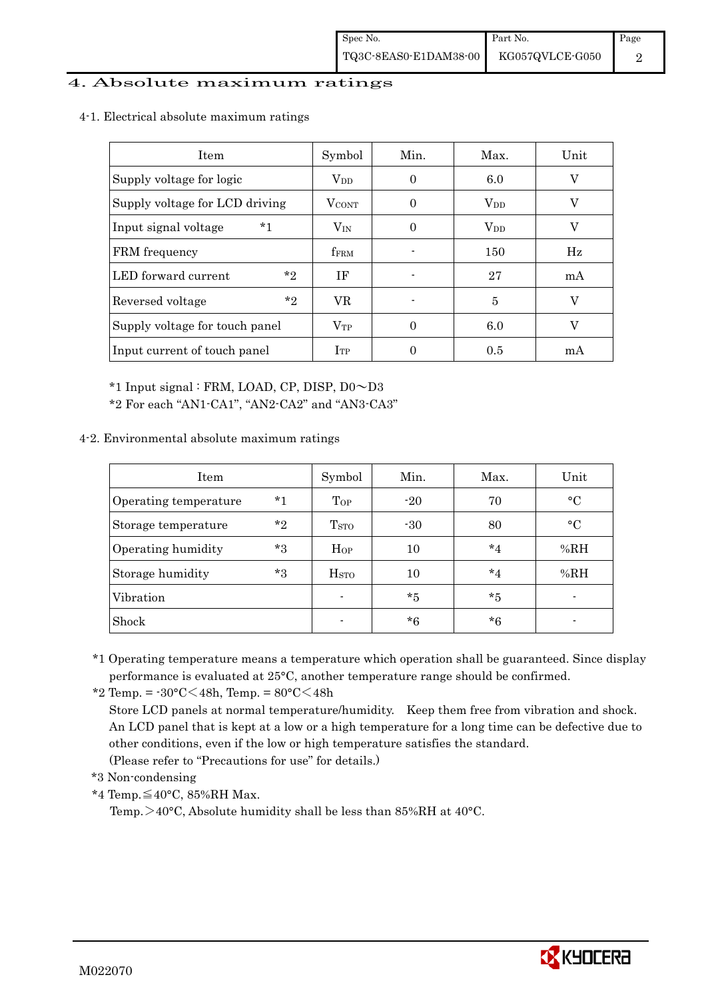### 4. Absolute maximum ratings

4-1. Electrical absolute maximum ratings

| Item                           | Symbol           | Min.     | Max.     | Unit |
|--------------------------------|------------------|----------|----------|------|
| Supply voltage for logic       | $\rm V_{DD}$     | 0        | 6.0      | V    |
| Supply voltage for LCD driving | <b>V</b> CONT    | 0        | $V_{DD}$ | V    |
| $*1$<br>Input signal voltage   | $V_{IN}$         | $\Omega$ | $V_{DD}$ | V    |
| FRM frequency                  | f <sub>FRM</sub> |          | 150      | Hz   |
| $*$ ?<br>LED forward current   | ΙF               |          | 27       | mA   |
| $*$ ?<br>Reversed voltage      | VR.              |          | 5        | V    |
| Supply voltage for touch panel | $V_{TP}$         | 0        | 6.0      | V    |
| Input current of touch panel   | $I_{TP}$         |          | 0.5      | mA   |

\*1 Input signal : FRM, LOAD, CP, DISP, D0~D3

\*2 For each "AN1-CA1", "AN2-CA2" and "AN3-CA3"

### 4-2. Environmental absolute maximum ratings

| Item                  |         | Symbol             | Min.    | Max.    | Unit      |
|-----------------------|---------|--------------------|---------|---------|-----------|
| Operating temperature | $^*1$   | Top                | $-20$   | 70      | $\circ$ C |
| Storage temperature   | $*_{2}$ | T <sub>STO</sub>   | $-30$   | 80      | $\circ$ C |
| Operating humidity    | $*3$    | Hop                | 10      | $*_{4}$ | %RH       |
| Storage humidity      | $*3$    | $_{\mathrm{HSTO}}$ | 10      | $*_{4}$ | %RH       |
| Vibration             |         | $\blacksquare$     | $*_{5}$ | *5      |           |
| Shock                 |         |                    | *6      | $*6$    |           |

\*1 Operating temperature means a temperature which operation shall be guaranteed. Since display performance is evaluated at 25°C, another temperature range should be confirmed.

\*2 Temp. =  $-30^{\circ}$ C $<$ 48h, Temp. =  $80^{\circ}$ C $<$ 48h

 Store LCD panels at normal temperature/humidity. Keep them free from vibration and shock. An LCD panel that is kept at a low or a high temperature for a long time can be defective due to other conditions, even if the low or high temperature satisfies the standard.

(Please refer to "Precautions for use" for details.)

\*3 Non-condensing

\*4 Temp.≦40°C, 85%RH Max.

Temp.  $>40^{\circ}$ C, Absolute humidity shall be less than 85%RH at 40 $^{\circ}$ C.

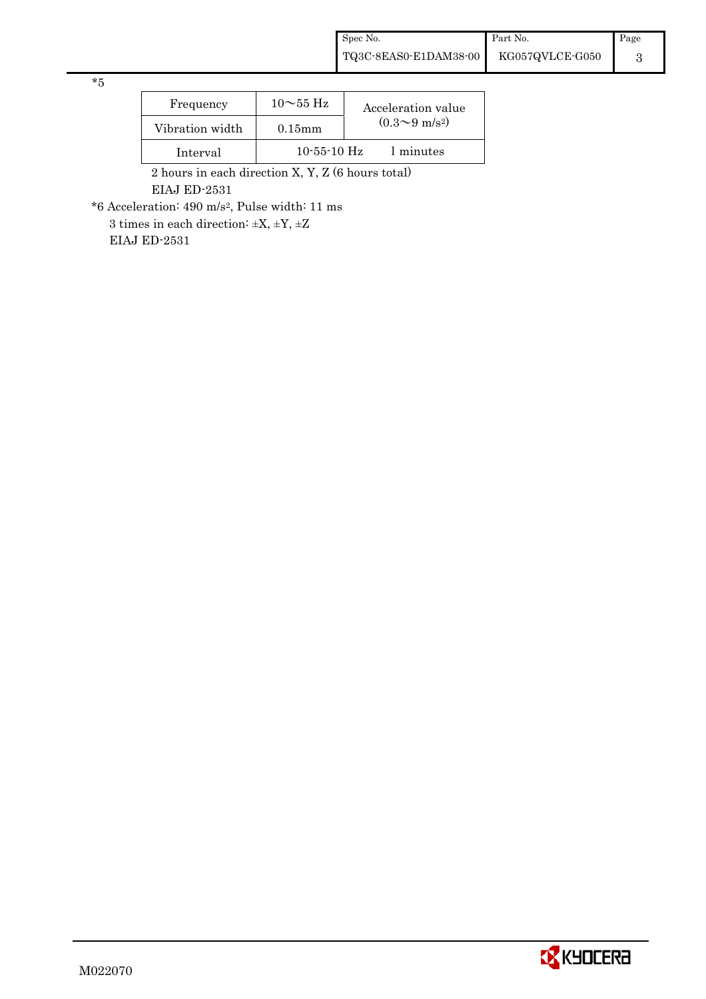\*5

| Frequency       | $10\sim 55$ Hz    | Acceleration value         |
|-----------------|-------------------|----------------------------|
| Vibration width | $0.15$ mm         | $(0.3{\sim}9~{\rm m/s^2})$ |
| Interval        | $10 - 55 - 10$ Hz | 1 minutes                  |

 2 hours in each direction X, Y, Z (6 hours total) EIAJ ED-2531

\*6 Acceleration: 490 m/s2, Pulse width: 11 ms

 $3$  times in each direction:  $\pm \mathrm{X},\, \pm \mathrm{Y},\, \pm \mathrm{Z}$ EIAJ ED-2531

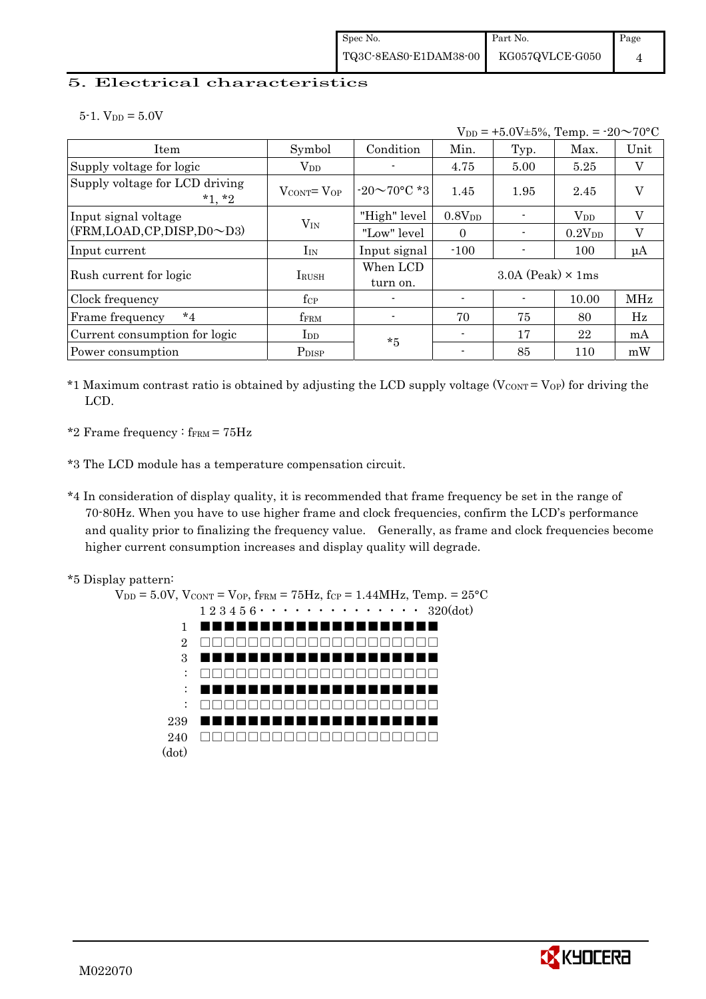### 5. Electrical characteristics

 $5-1.$  V<sub>DD</sub> =  $5.0V$ 

|                                            |                                   |                      |                    | $V_{DD}$ = +5.0V±5%, Temp. = -20 $\sim$ 70°C |              |         |
|--------------------------------------------|-----------------------------------|----------------------|--------------------|----------------------------------------------|--------------|---------|
| Item                                       | Symbol                            | Condition            | Min.               | Typ.                                         | Max.         | Unit    |
| Supply voltage for logic                   | $V_{DD}$                          |                      | 4.75               | 5.00                                         | 5.25         | V       |
| Supply voltage for LCD driving<br>$*1, *2$ | $V_{\text{CONT}} = V_{\text{OP}}$ | $-20\sim 70$ °C *3   | 1.45               | 1.95                                         | 2.45         | V       |
| Input signal voltage                       |                                   | "High" level         | 0.8V <sub>DD</sub> |                                              | $\rm V_{DD}$ | V       |
| (FRM,LOAD,CP,DISP,D0~D3)                   | $V_{IN}$                          | "Low" level          | $\Omega$           |                                              | $0.2V_{DD}$  | V       |
| Input current                              | $I_{IN}$                          | Input signal         | $-100$             |                                              | 100          | $\mu A$ |
| Rush current for logic                     | <b>IRUSH</b>                      | When LCD<br>turn on. |                    | $3.0A$ (Peak) $\times$ 1ms                   |              |         |
| Clock frequency                            | $f_{\rm CP}$                      |                      |                    |                                              | 10.00        | MHz     |
| $*_{4}$<br>Frame frequency                 | fFRM                              |                      | 70                 | 75                                           | 80           | Hz      |
| Current consumption for logic              | $_{\rm{LDD}}$                     | $*5$                 |                    | 17                                           | 22           | mA      |
| Power consumption                          | P <sub>DISP</sub>                 |                      |                    | 85                                           | 110          | mW      |

- \*1 Maximum contrast ratio is obtained by adjusting the LCD supply voltage ( $V_{\text{CONT}} = V_{\text{OP}}$ ) for driving the LCD.
- \*2 Frame frequency :  $f_{\text{FRM}} = 75 \text{Hz}$
- \*3 The LCD module has a temperature compensation circuit.
- \*4 In consideration of display quality, it is recommended that frame frequency be set in the range of 70-80Hz. When you have to use higher frame and clock frequencies, confirm the LCD's performance and quality prior to finalizing the frequency value. Generally, as frame and clock frequencies become higher current consumption increases and display quality will degrade.





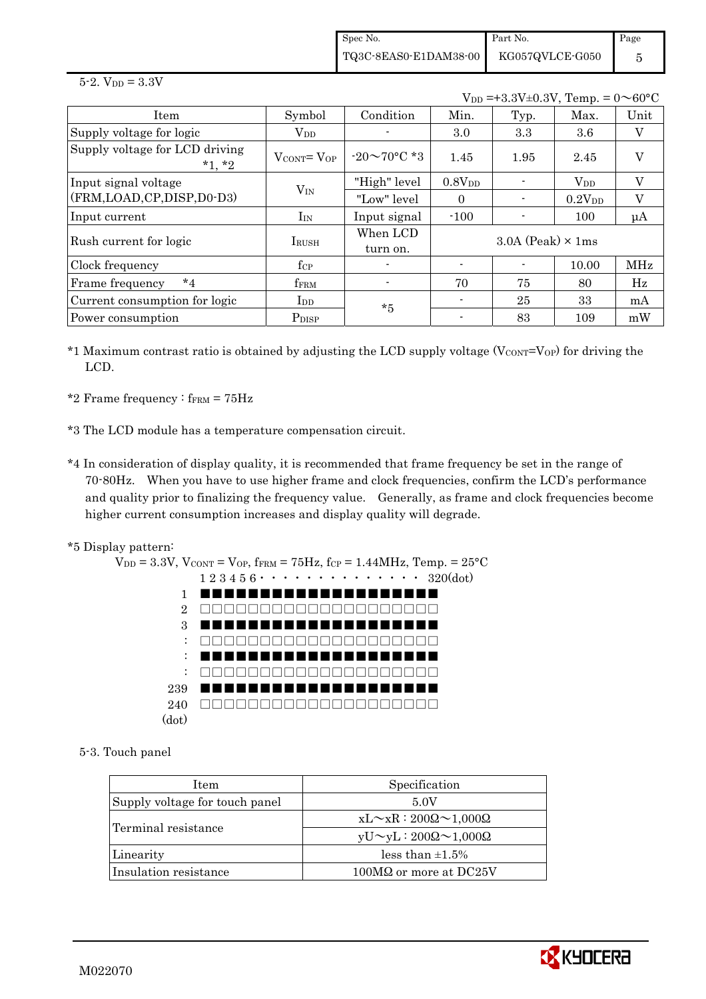Spec No. TQ3C-8EAS0-E1DAM38-00 Part No. KG057QVLCE-G050 Page 5

#### $5 - 2.$  V<sub>DD</sub> =  $3.3V$

 $V_{DD} = +3.3V \pm 0.3V$ , Temp. =  $0 \sim 60^{\circ}$ C

| Item                                       | Symbol                            | Condition            | Min.               | Typ.                       | Max.               | Unit       |
|--------------------------------------------|-----------------------------------|----------------------|--------------------|----------------------------|--------------------|------------|
| Supply voltage for logic                   | $\rm V_{DD}$                      |                      | 3.0                | 3.3                        | 3.6                | V          |
| Supply voltage for LCD driving<br>$*1, *2$ | $V_{\text{CONT}} = V_{\text{OP}}$ | $-20\sim 70$ °C *3   | 1.45               | 1.95                       | 2.45               | $\rm _V$   |
| Input signal voltage                       |                                   | "High" level         | 0.8V <sub>DD</sub> |                            | $\rm V_{DD}$       | V          |
| (FRM,LOAD,CP,DISP,D0-D3)                   | $V_{IN}$                          | "Low" level          | $\Omega$           |                            | 0.2V <sub>DD</sub> | $\rm V$    |
| Input current                              | ${\rm I_{IN}}$                    | Input signal         | $-100$             |                            | 100                | $\mu A$    |
| Rush current for logic                     | <b>I</b> RUSH                     | When LCD<br>turn on. |                    | $3.0A$ (Peak) $\times$ 1ms |                    |            |
| Clock frequency                            | $f_{\rm CP}$                      |                      |                    |                            | 10.00              | <b>MHz</b> |
| $*_{4}$<br>Frame frequency                 | fFRM                              |                      | 70                 | 75                         | 80                 | Hz         |
| Current consumption for logic              | I <sub>DD</sub>                   |                      |                    | 25                         | 33                 | mA         |
| Power consumption                          | P <sub>DISP</sub>                 | $*5$                 |                    | 83                         | 109                | mW         |

- \*1 Maximum contrast ratio is obtained by adjusting the LCD supply voltage  $(V_{CONT} = V_{OP})$  for driving the LCD.
- \*2 Frame frequency :  $f_{\text{FRM}} = 75 \text{Hz}$
- \*3 The LCD module has a temperature compensation circuit.
- \*4 In consideration of display quality, it is recommended that frame frequency be set in the range of 70-80Hz. When you have to use higher frame and clock frequencies, confirm the LCD's performance and quality prior to finalizing the frequency value. Generally, as frame and clock frequencies become higher current consumption increases and display quality will degrade.
- \*5 Display pattern:



5-3. Touch panel

| Item                           | Specification                             |  |  |  |
|--------------------------------|-------------------------------------------|--|--|--|
| Supply voltage for touch panel | 5.0V                                      |  |  |  |
|                                | $xL \sim xR : 200\Omega \sim 1,000\Omega$ |  |  |  |
| Terminal resistance            | $yU \sim yL : 200\Omega \sim 1,000\Omega$ |  |  |  |
| Linearity                      | less than $\pm 1.5\%$                     |  |  |  |
| Insulation resistance          | 100MΩ or more at DC25V                    |  |  |  |

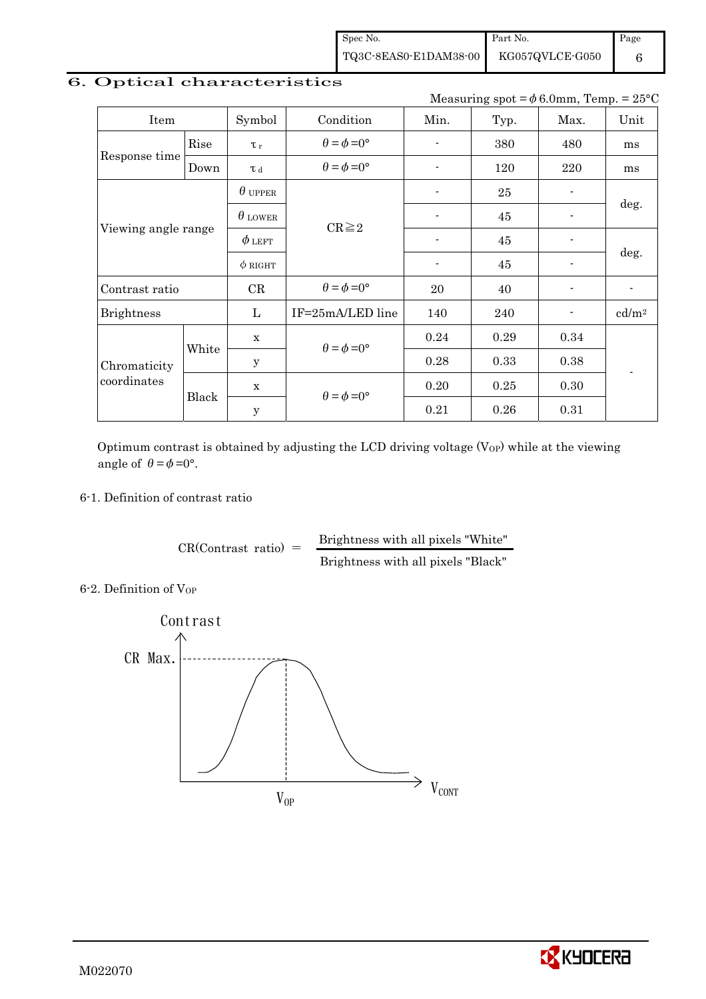Spec No. TQ3C-8EAS0-E1DAM38-00 Part No. KG057QVLCE-G050

Page 6

# 6. Optical characteristics

Measuring spot =  $\phi$  6.0mm, Temp. = 25°C

| Item                        |       | Symbol         | Condition                   | Min.                     | Typ. | Max. | Unit                     |  |
|-----------------------------|-------|----------------|-----------------------------|--------------------------|------|------|--------------------------|--|
| Rise                        |       | $\tau_r$       | $\theta = \phi = 0^{\circ}$ |                          | 380  | 480  | ms                       |  |
| Response time               | Down  | T d            | $\theta = \phi = 0^{\circ}$ | $\overline{\phantom{a}}$ | 120  | 220  | ms                       |  |
|                             |       | $\theta$ upper |                             | $\blacksquare$           | 25   | -    |                          |  |
| Viewing angle range         |       | $\theta$ lower | $CR \geq 2$                 |                          | 45   |      | deg.                     |  |
|                             |       | $\phi$ left    |                             |                          | 45   |      | deg.                     |  |
|                             |       | $\phi$ RIGHT   |                             | $\overline{\phantom{a}}$ | 45   |      |                          |  |
| Contrast ratio              |       | CR             | $\theta = \phi = 0^{\circ}$ | 20                       | 40   |      | $\overline{\phantom{a}}$ |  |
| <b>Brightness</b>           |       | L              | IF=25mA/LED line            | 140                      | 240  |      | cd/m <sup>2</sup>        |  |
|                             |       |                | $\theta = \phi = 0^{\circ}$ | 0.24                     | 0.29 | 0.34 |                          |  |
| Chromaticity<br>coordinates | White | $\mathbf y$    |                             | 0.28                     | 0.33 | 0.38 |                          |  |
|                             |       | $\mathbf x$    |                             | 0.20                     | 0.25 | 0.30 |                          |  |
|                             | Black | $\mathbf y$    | $\theta = \phi = 0^{\circ}$ |                          | 0.26 | 0.31 |                          |  |

Optimum contrast is obtained by adjusting the LCD driving voltage  $(V_{OP})$  while at the viewing angle of  $\theta = \phi = 0^{\circ}$ .

### 6-1. Definition of contrast ratio

 $CR(Contrast ratio) =$  Brightness with all pixels "White" Brightness with all pixels "Black"

6-2. Definition of Vor



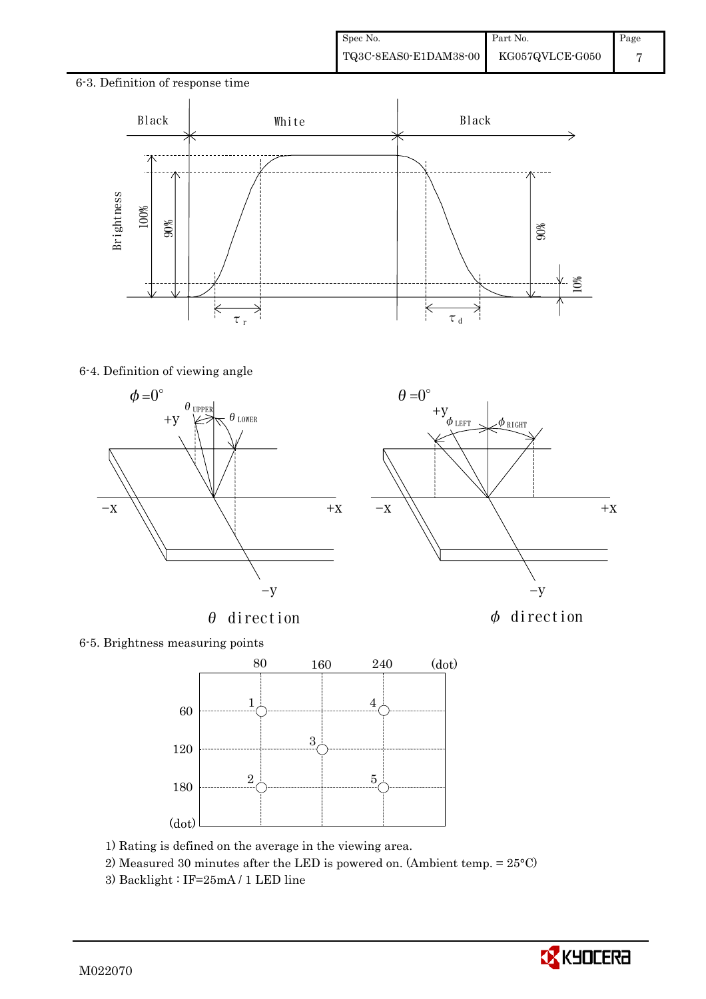### 6-3. Definition of response time



 $\theta=0^\circ$ 

### 6-4. Definition of viewing angle





## 6-5. Brightness measuring points



- 1) Rating is defined on the average in the viewing area.
- 2) Measured 30 minutes after the LED is powered on. (Ambient temp. = 25°C)
- 

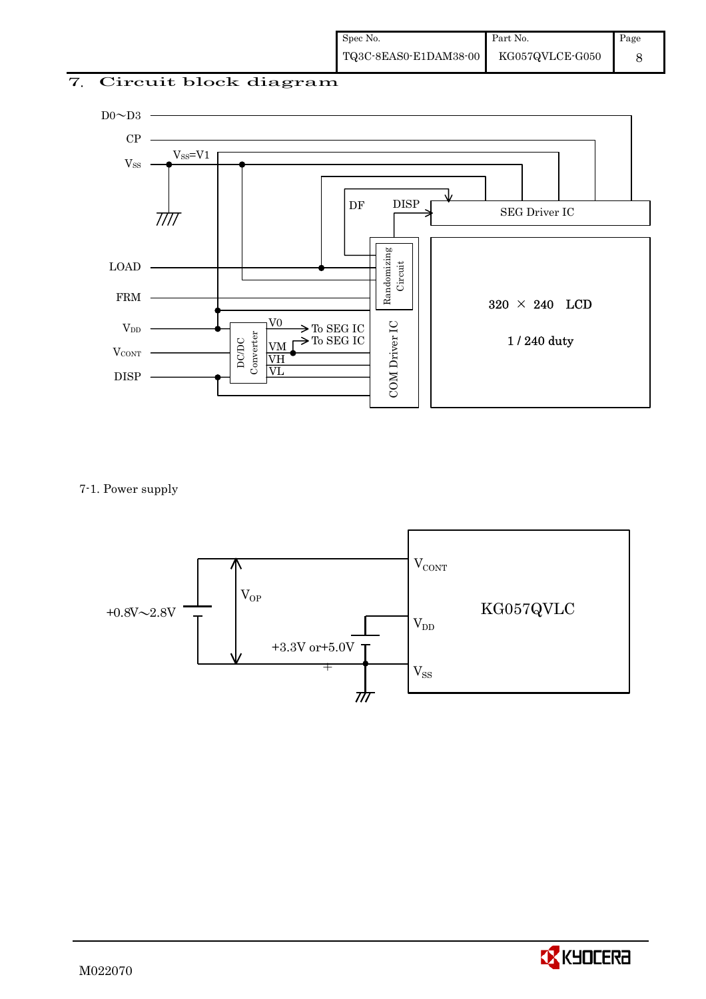# 7. Circuit block diagram



7-1. Power supply



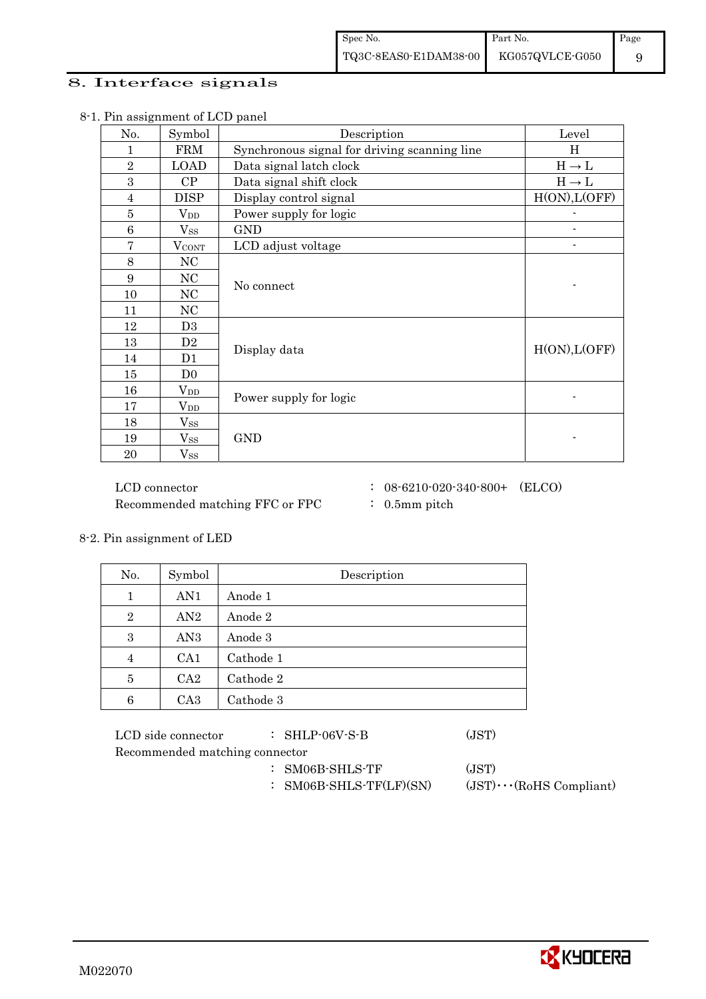## 8. Interface signals

| $\ldots$ assignment of $\Delta S$ panel<br>No. | Symbol            | Description                                  | Level             |
|------------------------------------------------|-------------------|----------------------------------------------|-------------------|
| 1                                              | FRM               | Synchronous signal for driving scanning line | H                 |
| $\overline{2}$                                 | <b>LOAD</b>       | Data signal latch clock                      | $H \rightarrow L$ |
| 3                                              | CP                | Data signal shift clock                      | $H \rightarrow L$ |
| $\overline{4}$                                 | <b>DISP</b>       | Display control signal                       | H(ON), L(OFF)     |
| $\bf 5$                                        | $\rm V_{DD}$      | Power supply for logic                       |                   |
| $\,6$                                          | $\mathrm{V_{SS}}$ | <b>GND</b>                                   |                   |
| 7                                              | $V_{\text{CONT}}$ | LCD adjust voltage                           |                   |
| 8                                              | NC                |                                              |                   |
| 9                                              | NC                |                                              |                   |
| 10                                             | NC                | No connect                                   |                   |
| 11                                             | NC                |                                              |                   |
| 12                                             | D <sub>3</sub>    |                                              |                   |
| 13                                             | D2                | Display data                                 | H(ON), L(OFF)     |
| 14                                             | D1                |                                              |                   |
| 15                                             | D <sub>0</sub>    |                                              |                   |
| 16                                             | $\rm V_{DD}$      |                                              |                   |
| 17                                             | $\rm V_{DD}$      | Power supply for logic                       |                   |
| 18                                             | $\mathrm{V_{SS}}$ |                                              |                   |
| 19                                             | $\mathrm{V_{SS}}$ | <b>GND</b>                                   |                   |
| 20                                             | $\mathrm{V_{SS}}$ |                                              |                   |

8-1. Pin assignment of LCD panel

Recommended matching FFC or FPC : 0.5mm pitch

- $\rm LCD~connector ~~:~~08\mbox{-}6210\mbox{-}020\mbox{-}340\mbox{-}800+~~\mbox{(ELCO)}$ 
	-

8-2. Pin assignment of LED

| No.            | Symbol          | Description |  |  |  |  |
|----------------|-----------------|-------------|--|--|--|--|
| 1              | AN1             | Anode 1     |  |  |  |  |
| $\overline{2}$ | AN2             | Anode 2     |  |  |  |  |
| 3              | AN <sub>3</sub> | Anode 3     |  |  |  |  |
| 4              | CA <sub>1</sub> | Cathode 1   |  |  |  |  |
| 5              | CA2             | Cathode 2   |  |  |  |  |
| 6              | CA <sub>3</sub> | Cathode 3   |  |  |  |  |

| LCD side connector             | $\therefore$ SHLP-06V-S-B | (JST) |
|--------------------------------|---------------------------|-------|
| Recommended matching connector |                           |       |
|                                | AMAO AIILA MD             | (TOM) |

- : SM06B-SHLS-TF (JST)
- : SM06B-SHLS-TF(LF)(SN) (JST)・・・(RoHS Compliant)

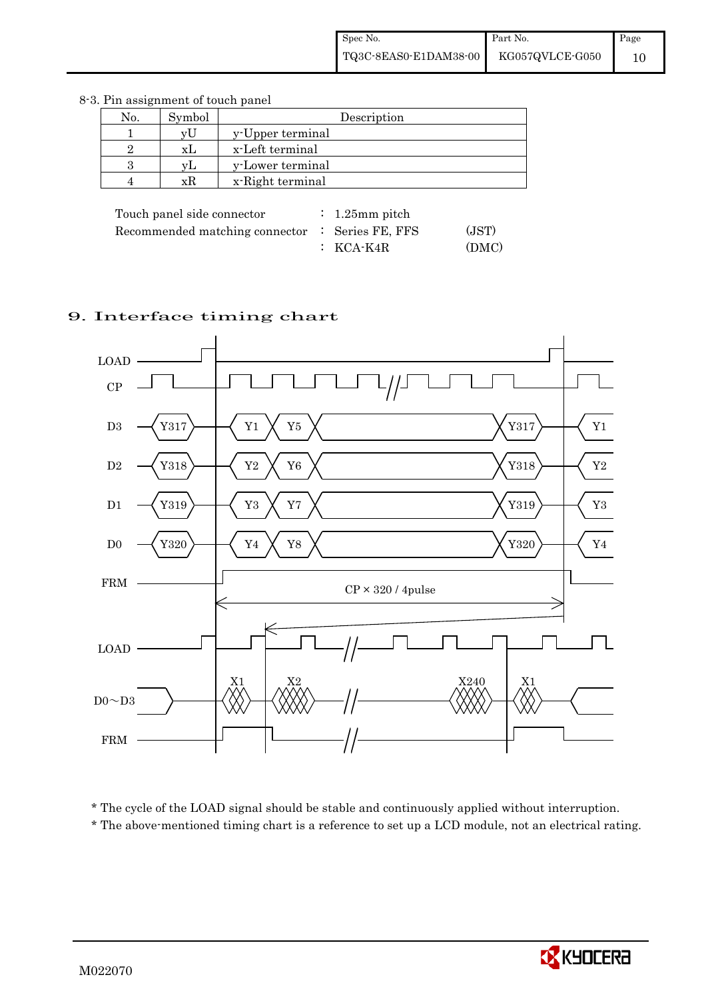| No. | Symbol | Description      |
|-----|--------|------------------|
|     | vU     | y-Upper terminal |
|     | XL     | x-Left terminal  |
|     | vL.    | y-Lower terminal |
|     | xR     | x-Right terminal |
|     |        |                  |

8-3. Pin assignment of touch panel

| Touch panel side connector                      | $\therefore$ 1.25 mm pitch |       |
|-------------------------------------------------|----------------------------|-------|
| Recommended matching connector : Series FE, FFS |                            | (JST) |
|                                                 | $\colon$ KCA-K4R           | (DMC) |

# 9. Interface timing chart



\* The cycle of the LOAD signal should be stable and continuously applied without interruption.

\* The above-mentioned timing chart is a reference to set up a LCD module, not an electrical rating.

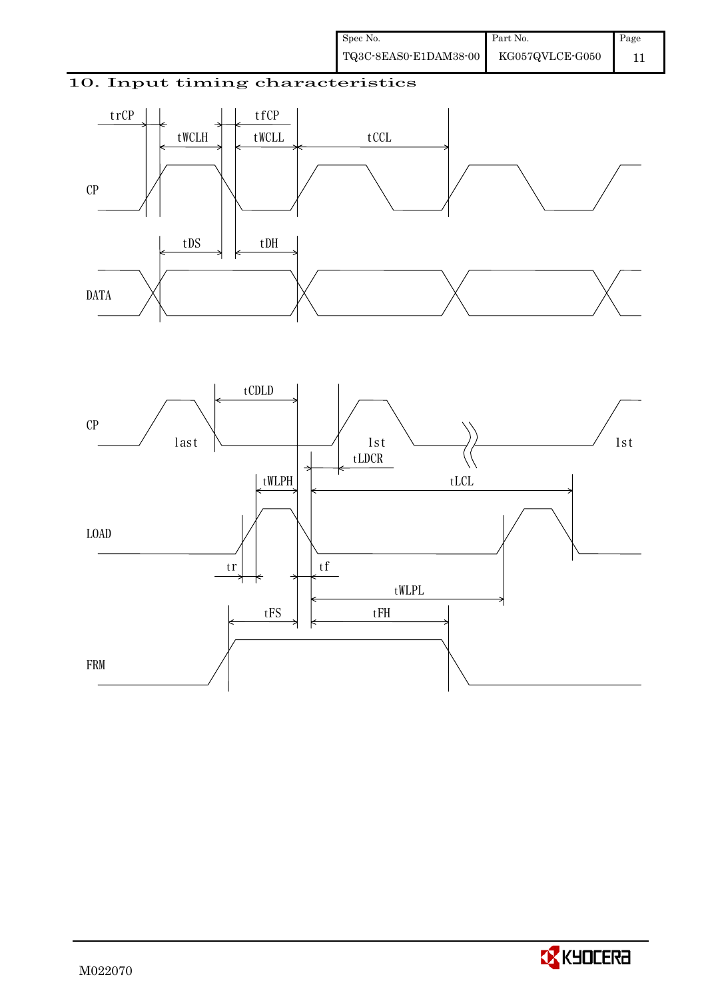# 10. Input timing characteristics





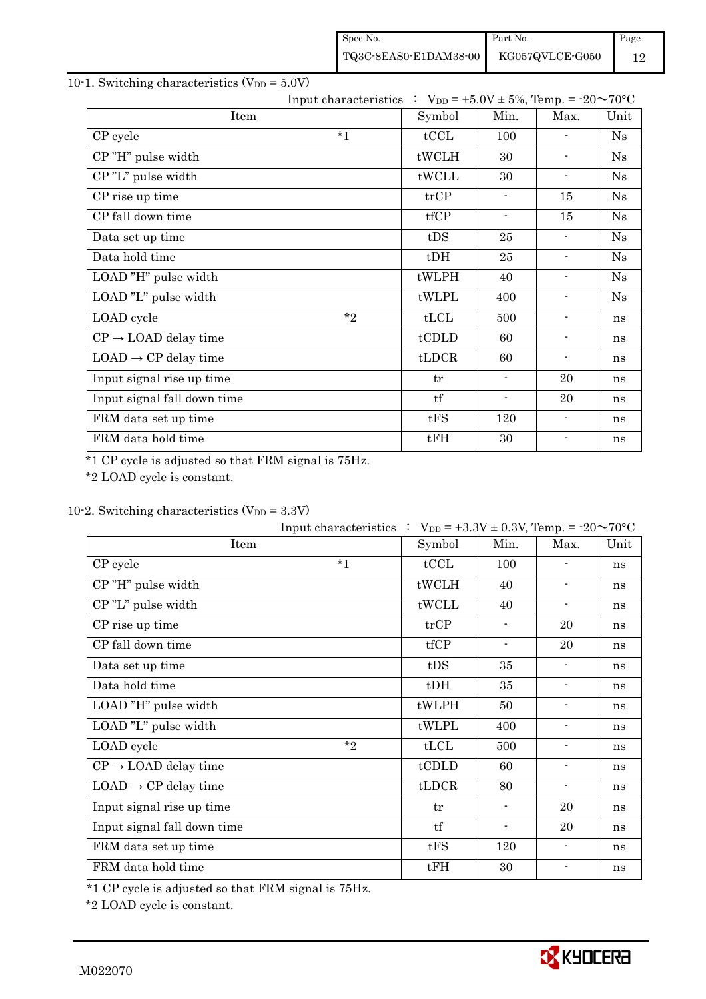| Spec No.              | Part No.        | Page |
|-----------------------|-----------------|------|
| TQ3C-8EAS0-E1DAM38-00 | KG057QVLCE-G050 | 12   |

# 10-1. Switching characteristics  $(V_{DD} = 5.0V)$

|                                  | Input characteristics : $V_{DD} = +5.0V \pm 5\%$ , Temp. = -20~70°C |        |                          |                          |    |
|----------------------------------|---------------------------------------------------------------------|--------|--------------------------|--------------------------|----|
| Item                             | Symbol                                                              | Min.   | Max.                     | Unit                     |    |
| CP cycle                         | $*1$                                                                | tCCL   | 100                      | $\blacksquare$           | Ns |
| CP"H" pulse width                |                                                                     | tWCLH  | 30                       | $\overline{\phantom{a}}$ | Ns |
| CP"L" pulse width                |                                                                     | tWCLL  | 30                       | $\blacksquare$           | Ns |
| CP rise up time                  |                                                                     | trCP   | $\blacksquare$           | 15                       | Ns |
| CP fall down time                |                                                                     | tfCP   | $\overline{\phantom{a}}$ | 15                       | Ns |
| Data set up time                 |                                                                     | tDS    | 25                       | $\overline{\phantom{a}}$ | Ns |
| Data hold time                   |                                                                     | $t$ DH | 25                       | $\blacksquare$           | Ns |
| LOAD "H" pulse width             |                                                                     | tWLPH  | 40                       | ۰                        | Ns |
| LOAD "L" pulse width             |                                                                     | tWLPL  | 400                      | $\blacksquare$           | Ns |
| LOAD cycle                       | $*$ ?                                                               | tLCL   | 500                      | $\overline{\phantom{a}}$ | ns |
| $CP \rightarrow$ LOAD delay time |                                                                     | tCDLD  | 60                       | $\blacksquare$           | ns |
| $LOAD \rightarrow CP$ delay time |                                                                     | tLDCR  | 60                       | $\blacksquare$           | ns |
| Input signal rise up time        |                                                                     | tr     | $\blacksquare$           | 20                       | ns |
| Input signal fall down time      |                                                                     | tf     | $\overline{\phantom{a}}$ | 20                       | ns |
| FRM data set up time             |                                                                     | tFS    | 120                      | $\blacksquare$           | ns |
| FRM data hold time               |                                                                     | tFH    | 30                       | $\blacksquare$           | ns |

\*1 CP cycle is adjusted so that FRM signal is 75Hz.

\*2 LOAD cycle is constant.

# 10-2. Switching characteristics  $(V_{DD} = 3.3V)$

|                                  | Input characteristics : $V_{DD} = +3.3V \pm 0.3V$ , Temp. = -20~70°C |        |                          |                          |      |
|----------------------------------|----------------------------------------------------------------------|--------|--------------------------|--------------------------|------|
| Item                             |                                                                      | Symbol | Min.                     | Max.                     | Unit |
| CP cycle                         | $*_{1}$                                                              | tCCL   | 100                      |                          | ns   |
| CP"H" pulse width                |                                                                      | tWCLH  | 40                       | $\overline{\phantom{a}}$ | ns   |
| CP"L" pulse width                |                                                                      | tWCLL  | 40                       | $\blacksquare$           | ns   |
| CP rise up time                  |                                                                      | trCP   | $\overline{\phantom{a}}$ | 20                       | ns   |
| CP fall down time                |                                                                      | tfCP   | $\blacksquare$           | 20                       | ns   |
| Data set up time                 |                                                                      | tDS    | 35                       | $\blacksquare$           | ns   |
| Data hold time                   |                                                                      | $t$ DH | 35                       | $\blacksquare$           | ns   |
| LOAD "H" pulse width             |                                                                      | tWLPH  | 50                       | $\overline{\phantom{a}}$ | ns   |
| LOAD "L" pulse width             |                                                                      | tWLPL  | 400                      | $\overline{\phantom{a}}$ | ns   |
| LOAD cycle                       | $*_{2}$                                                              | tLCL   | 500                      | $\overline{\phantom{a}}$ | ns   |
| $CP \rightarrow$ LOAD delay time |                                                                      | tCDLD  | 60                       | $\blacksquare$           | ns   |
| $LOAD \rightarrow CP$ delay time |                                                                      | tLDCR  | 80                       | $\overline{\phantom{a}}$ | ns   |
| Input signal rise up time        |                                                                      | tr     | $\blacksquare$           | 20                       | ns   |
| Input signal fall down time      |                                                                      | tf     | $\blacksquare$           | 20                       | ns   |
| FRM data set up time             |                                                                      | tFS    | 120                      | $\blacksquare$           | ns   |
| FRM data hold time               |                                                                      | tFH    | 30                       | $\overline{\phantom{a}}$ | ns   |

\*1 CP cycle is adjusted so that FRM signal is 75Hz.

\*2 LOAD cycle is constant.

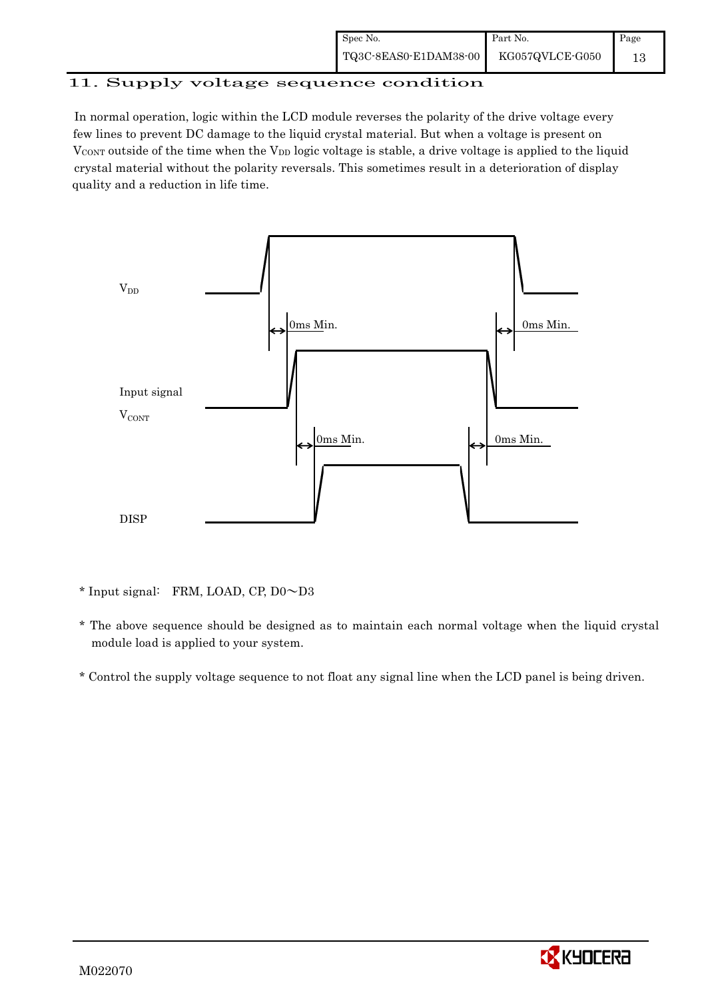| Spec No.              | Part No.        | Page |
|-----------------------|-----------------|------|
| TQ3C-8EAS0-E1DAM38-00 | KG057QVLCE-G050 |      |

# 11. Supply voltage sequence condition

 In normal operation, logic within the LCD module reverses the polarity of the drive voltage every few lines to prevent DC damage to the liquid crystal material. But when a voltage is present on  $V_{\text{CONT}}$  outside of the time when the  $V_{\text{DD}}$  logic voltage is stable, a drive voltage is applied to the liquid crystal material without the polarity reversals. This sometimes result in a deterioration of display quality and a reduction in life time.



\* Input signal: FRM, LOAD, CP, D0~D3

- \* The above sequence should be designed as to maintain each normal voltage when the liquid crystal module load is applied to your system.
- \* Control the supply voltage sequence to not float any signal line when the LCD panel is being driven.

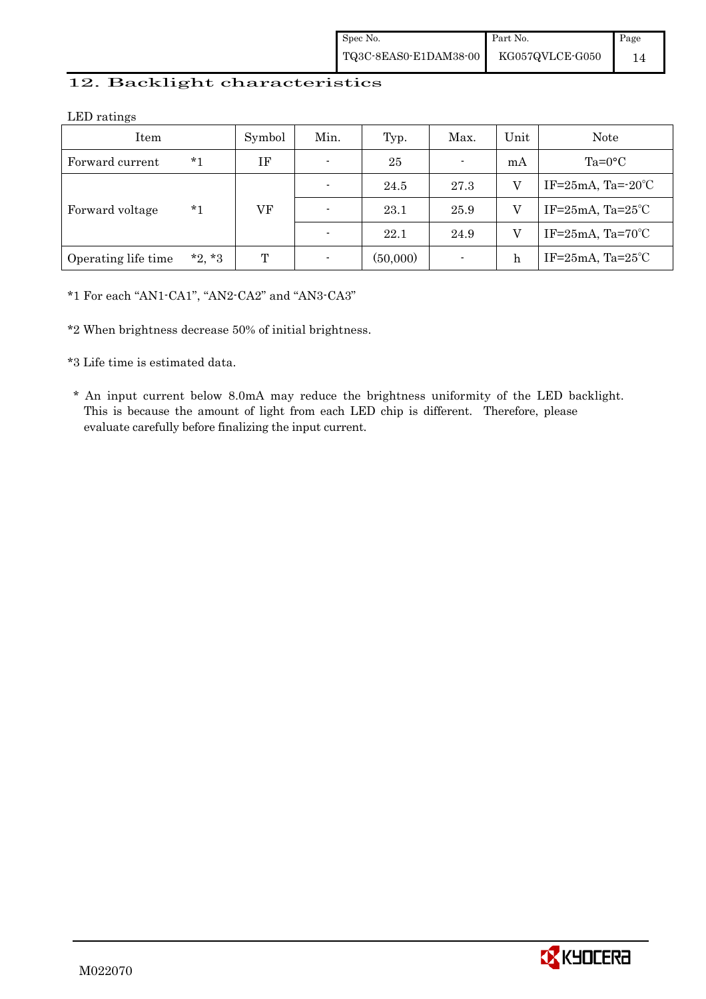## 12. Backlight characteristics

LED ratings

| Item                |          | Symbol | Min.           | Typ.     | Max. | Unit | Note                             |
|---------------------|----------|--------|----------------|----------|------|------|----------------------------------|
| Forward current     | *1       | IF     | $\blacksquare$ | 25       |      | mA   | $Ta=0$ °C                        |
|                     |          |        | $\blacksquare$ | 24.5     | 27.3 | V    | IF= $25mA$ , Ta= $-20^{\circ}$ C |
| Forward voltage     | *1       | VF     | $\blacksquare$ | 23.1     | 25.9 | V    | IF= $25mA$ , Ta= $25^{\circ}$ C  |
|                     |          |        | $\overline{a}$ | 22.1     | 24.9 | V    | IF= $25mA$ , Ta= $70^{\circ}$ C  |
| Operating life time | $*2, *3$ | T      | ٠              | (50,000) |      | h    | IF= $25mA$ , Ta= $25°C$          |

\*1 For each "AN1-CA1", "AN2-CA2" and "AN3-CA3"

\*2 When brightness decrease 50% of initial brightness.

\*3 Life time is estimated data.

 \* An input current below 8.0mA may reduce the brightness uniformity of the LED backlight. This is because the amount of light from each LED chip is different. Therefore, please evaluate carefully before finalizing the input current.

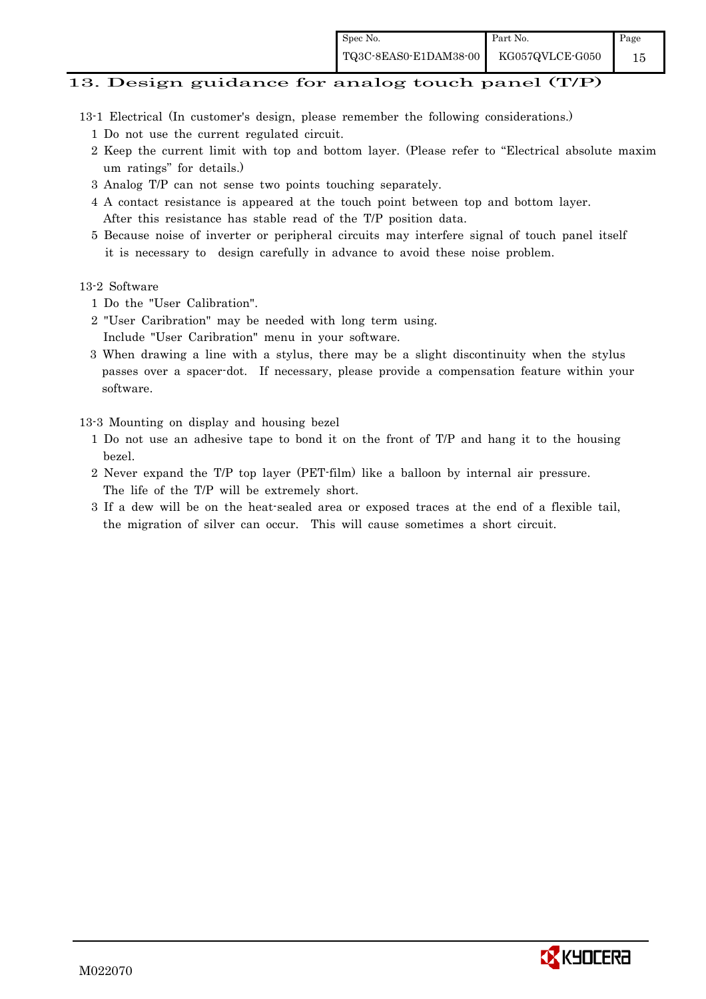### 13. Design guidance for analog touch panel (T/P)

- 13-1 Electrical (In customer's design, please remember the following considerations.)
	- 1 Do not use the current regulated circuit.
	- 2 Keep the current limit with top and bottom layer. (Please refer to "Electrical absolute maxim um ratings" for details.)
	- 3 Analog T/P can not sense two points touching separately.
	- 4 A contact resistance is appeared at the touch point between top and bottom layer. After this resistance has stable read of the T/P position data.
	- 5 Because noise of inverter or peripheral circuits may interfere signal of touch panel itself it is necessary to design carefully in advance to avoid these noise problem.

#### 13-2 Software

- 1 Do the "User Calibration".
- 2 "User Caribration" may be needed with long term using.
- Include "User Caribration" menu in your software.
- 3 When drawing a line with a stylus, there may be a slight discontinuity when the stylus passes over a spacer-dot. If necessary, please provide a compensation feature within your software.

### 13-3 Mounting on display and housing bezel

- 1 Do not use an adhesive tape to bond it on the front of T/P and hang it to the housing bezel.
- 2 Never expand the T/P top layer (PET-film) like a balloon by internal air pressure. The life of the T/P will be extremely short.
- 3 If a dew will be on the heat-sealed area or exposed traces at the end of a flexible tail, the migration of silver can occur. This will cause sometimes a short circuit.

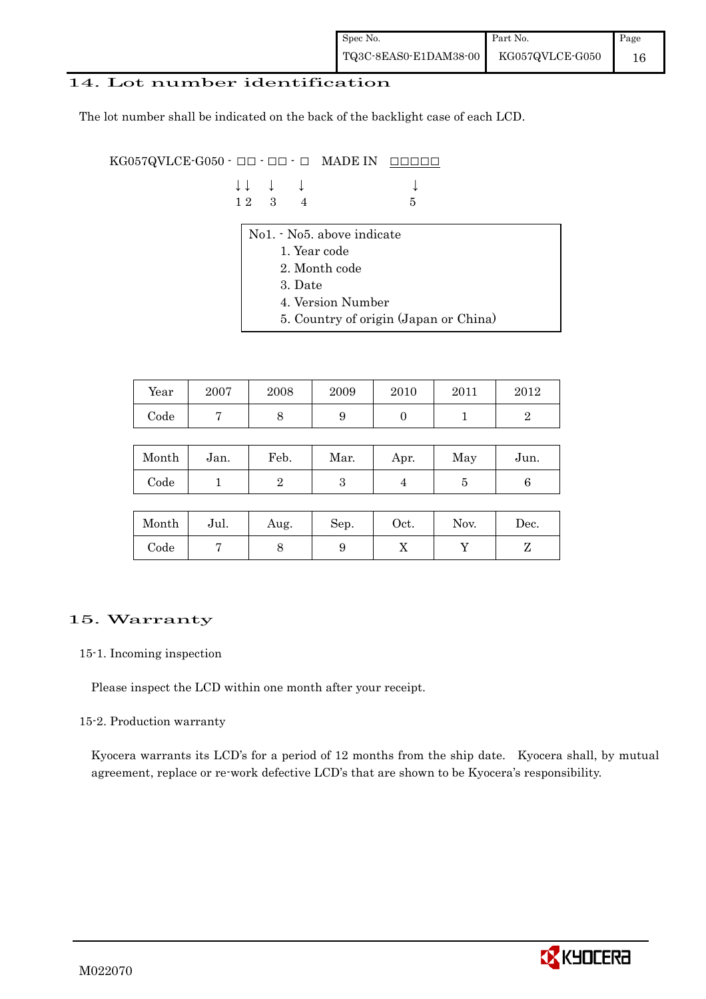| Spec No.              | Part No.        | Page |
|-----------------------|-----------------|------|
| TQ3C-8EAS0-E1DAM38-00 | KG057QVLCE-G050 | 16   |

### 14. Lot number identification

The lot number shall be indicated on the back of the backlight case of each LCD.

 $KG057QVLCE-G050 -  $\Box\Box$  -  $\Box$  \nMADE IN \n $\Box\Box\Box\Box\Box$$ 

|  | $\downarrow \downarrow \quad \downarrow \quad \downarrow$ |     |  |
|--|-----------------------------------------------------------|-----|--|
|  | $12 \quad 3 \quad 4$                                      | - 5 |  |

- No1. No5. above indicate
	- 1. Year code
	- 2. Month code
	- 3. Date
	- 4. Version Number
	- 5. Country of origin (Japan or China)

| Year | 2007 | 2008 | 2009 | 2010 | 2011 | $2012\,$ |
|------|------|------|------|------|------|----------|
| Code |      |      | ັ    |      |      |          |

| Month      | Jan. | Feb. | Mar. | Apr. | May | Jun. |
|------------|------|------|------|------|-----|------|
| $\rm Code$ |      |      | ౿    |      |     |      |

| Month      | Jul. | Aug. | Sep. | Oct. | Nov. | Dec. |
|------------|------|------|------|------|------|------|
| $\rm Code$ |      |      | ഄ    | ∡⊾   |      |      |

## 15. Warranty

### 15-1. Incoming inspection

Please inspect the LCD within one month after your receipt.

### 15-2. Production warranty

 Kyocera warrants its LCD's for a period of 12 months from the ship date. Kyocera shall, by mutual agreement, replace or re-work defective LCD's that are shown to be Kyocera's responsibility.

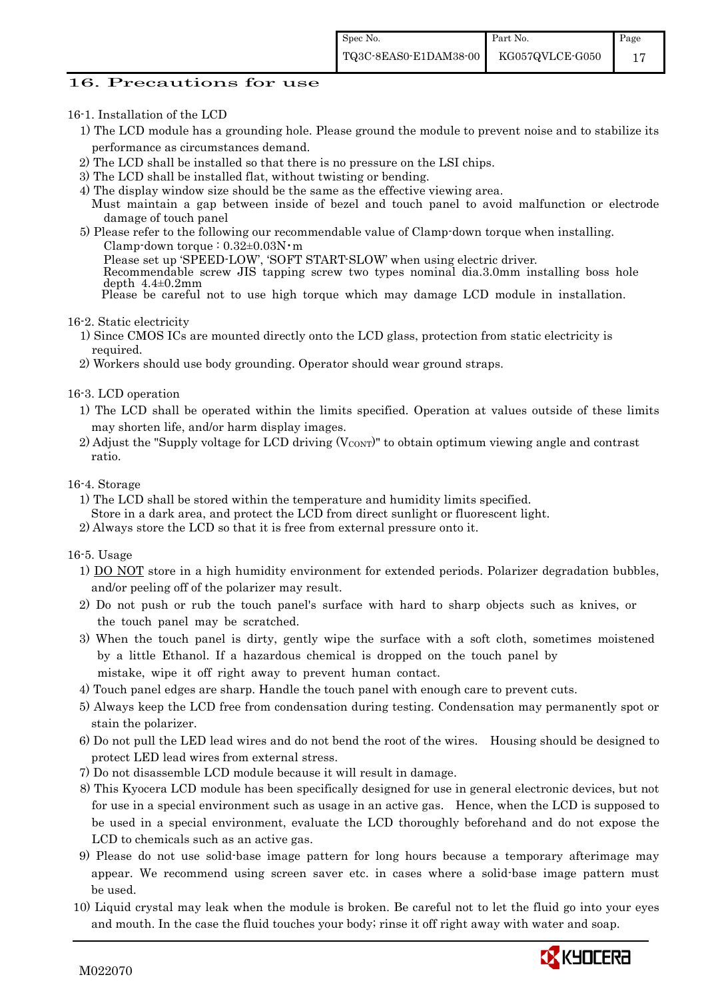### 16. Precautions for use

#### 16-1. Installation of the LCD

- 1) The LCD module has a grounding hole. Please ground the module to prevent noise and to stabilize its performance as circumstances demand.
- 2) The LCD shall be installed so that there is no pressure on the LSI chips.
- 3) The LCD shall be installed flat, without twisting or bending.
- 4) The display window size should be the same as the effective viewing area.
- Must maintain a gap between inside of bezel and touch panel to avoid malfunction or electrode damage of touch panel
- 5) Please refer to the following our recommendable value of Clamp-down torque when installing. Clamp-down torque :  $0.32\pm0.03$ N·m
	- Please set up 'SPEED-LOW', 'SOFT START-SLOW' when using electric driver.

 Recommendable screw JIS tapping screw two types nominal dia.3.0mm installing boss hole depth  $4.4\pm0.2$ mm

Please be careful not to use high torque which may damage LCD module in installation.

16-2. Static electricity

- 1) Since CMOS ICs are mounted directly onto the LCD glass, protection from static electricity is required.
- 2) Workers should use body grounding. Operator should wear ground straps.
- 16-3. LCD operation
	- 1) The LCD shall be operated within the limits specified. Operation at values outside of these limits may shorten life, and/or harm display images.
	- 2) Adjust the "Supply voltage for LCD driving  $(V_{\text{CONT}})$ " to obtain optimum viewing angle and contrast ratio.

#### 16-4. Storage

- 1) The LCD shall be stored within the temperature and humidity limits specified.
- Store in a dark area, and protect the LCD from direct sunlight or fluorescent light.
- 2) Always store the LCD so that it is free from external pressure onto it.

16-5. Usage

- 1) DO NOT store in a high humidity environment for extended periods. Polarizer degradation bubbles, and/or peeling off of the polarizer may result.
- 2) Do not push or rub the touch panel's surface with hard to sharp objects such as knives, or the touch panel may be scratched.
- 3) When the touch panel is dirty, gently wipe the surface with a soft cloth, sometimes moistened by a little Ethanol. If a hazardous chemical is dropped on the touch panel by mistake, wipe it off right away to prevent human contact.
- 4) Touch panel edges are sharp. Handle the touch panel with enough care to prevent cuts.
- 5) Always keep the LCD free from condensation during testing. Condensation may permanently spot or stain the polarizer.
- 6) Do not pull the LED lead wires and do not bend the root of the wires. Housing should be designed to protect LED lead wires from external stress.
- 7) Do not disassemble LCD module because it will result in damage.
- 8) This Kyocera LCD module has been specifically designed for use in general electronic devices, but not for use in a special environment such as usage in an active gas. Hence, when the LCD is supposed to be used in a special environment, evaluate the LCD thoroughly beforehand and do not expose the LCD to chemicals such as an active gas.
- 9) Please do not use solid-base image pattern for long hours because a temporary afterimage may appear. We recommend using screen saver etc. in cases where a solid-base image pattern must be used.
- 10) Liquid crystal may leak when the module is broken. Be careful not to let the fluid go into your eyes and mouth. In the case the fluid touches your body; rinse it off right away with water and soap.

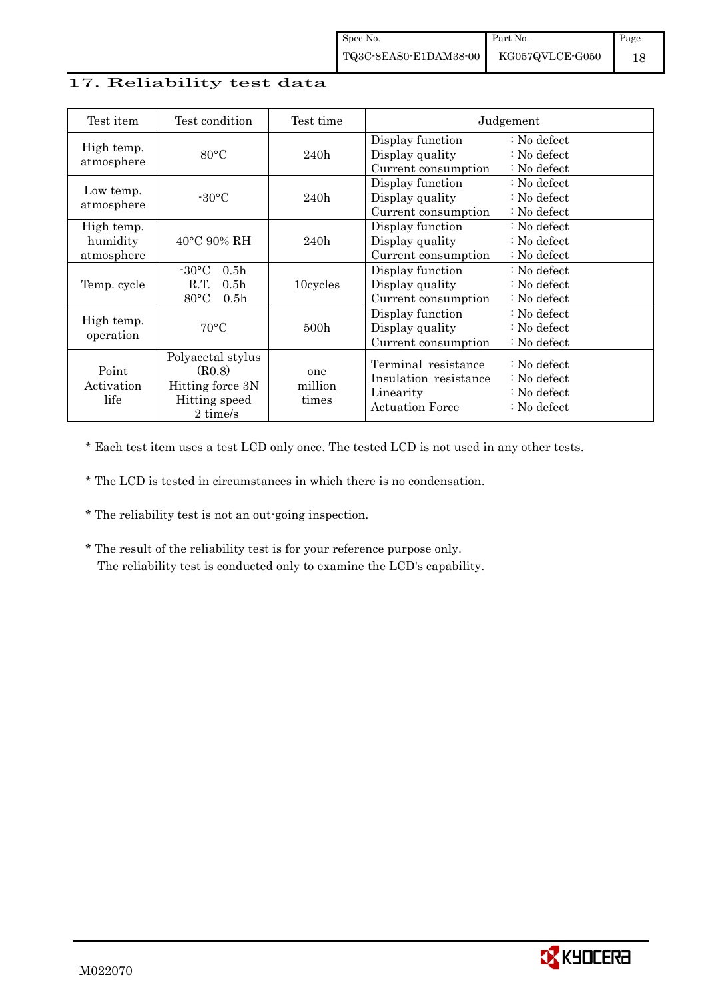## 17. Reliability test data

| Test item                            | Test condition                                                                                       | Test time               |                                                                                     | Judgement                                                                                 |
|--------------------------------------|------------------------------------------------------------------------------------------------------|-------------------------|-------------------------------------------------------------------------------------|-------------------------------------------------------------------------------------------|
| High temp.<br>atmosphere             | 80°C                                                                                                 | 240h                    | Display function<br>Display quality<br>Current consumption                          | $\therefore$ No defect<br>: No defect<br>$\therefore$ No defect                           |
| Low temp.<br>atmosphere              | $-30\degree C$                                                                                       | 240h                    | Display function<br>Display quality<br>Current consumption                          | $\therefore$ No defect<br>$\therefore$ No defect<br>$\therefore$ No defect                |
| High temp.<br>humidity<br>atmosphere | $40^{\circ}$ C 90% RH                                                                                | 240h                    | Display function<br>Display quality<br>Current consumption                          | $\therefore$ No defect<br>$\therefore$ No defect<br>$\therefore$ No defect                |
| Temp. cycle                          | $-30\degree C$<br>0.5 <sub>h</sub><br>R.T.<br>0.5 <sub>h</sub><br>$80^{\circ}$ C<br>0.5 <sub>h</sub> | 10cycles                | Display function<br>Display quality<br>Current consumption                          | $\therefore$ No defect<br>: No defect<br>$\therefore$ No defect                           |
| High temp.<br>operation              | $70^{\circ}$ C                                                                                       | 500 <sub>h</sub>        | Display function<br>Display quality<br>Current consumption                          | $\therefore$ No defect<br>$\therefore$ No defect<br>: No defect                           |
| Point<br>Activation<br>life          | Polyacetal stylus<br>(R0.8)<br>Hitting force 3N<br>Hitting speed<br>2 time/s                         | one<br>million<br>times | Terminal resistance<br>Insulation resistance<br>Linearity<br><b>Actuation Force</b> | : No defect<br>$\therefore$ No defect<br>$\therefore$ No defect<br>$\therefore$ No defect |

\* Each test item uses a test LCD only once. The tested LCD is not used in any other tests.

\* The LCD is tested in circumstances in which there is no condensation.

- \* The reliability test is not an out-going inspection.
- \* The result of the reliability test is for your reference purpose only. The reliability test is conducted only to examine the LCD's capability.

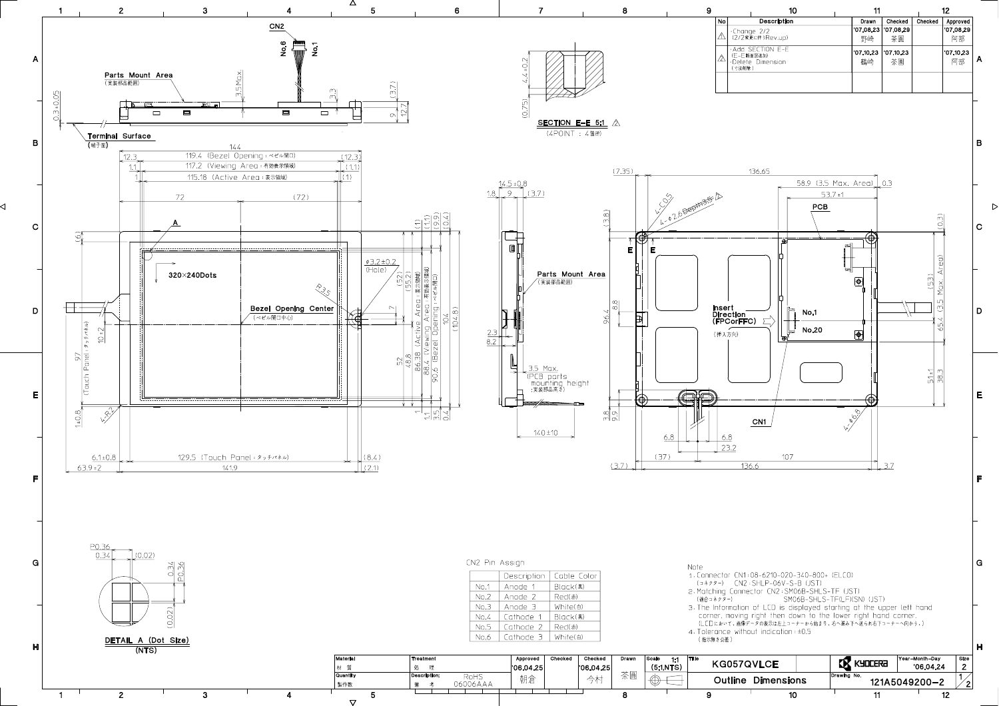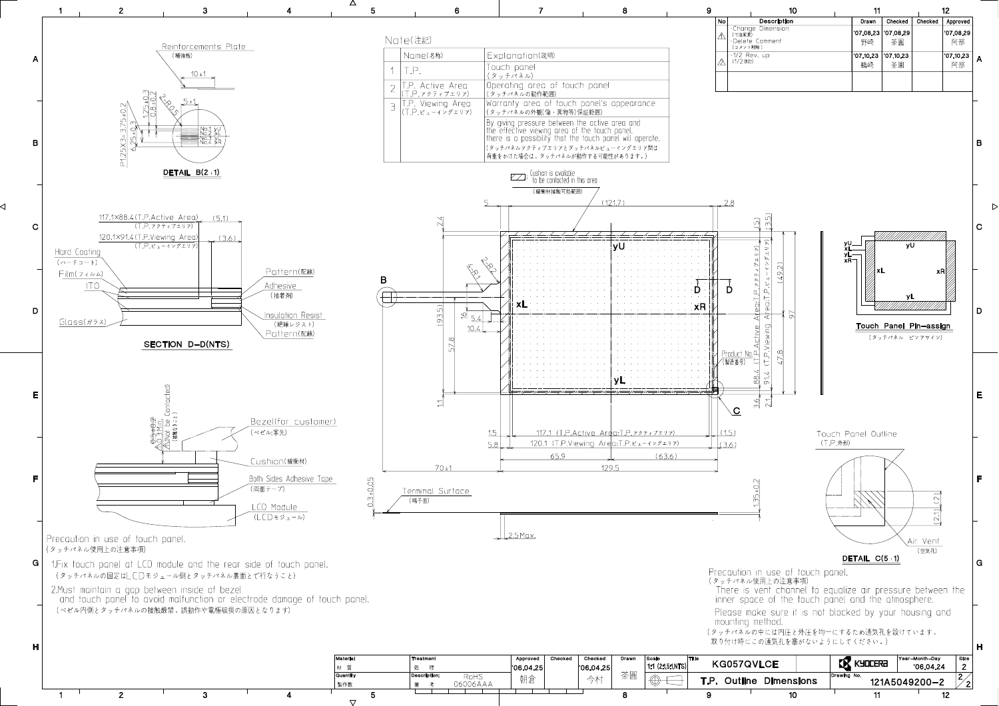

⊲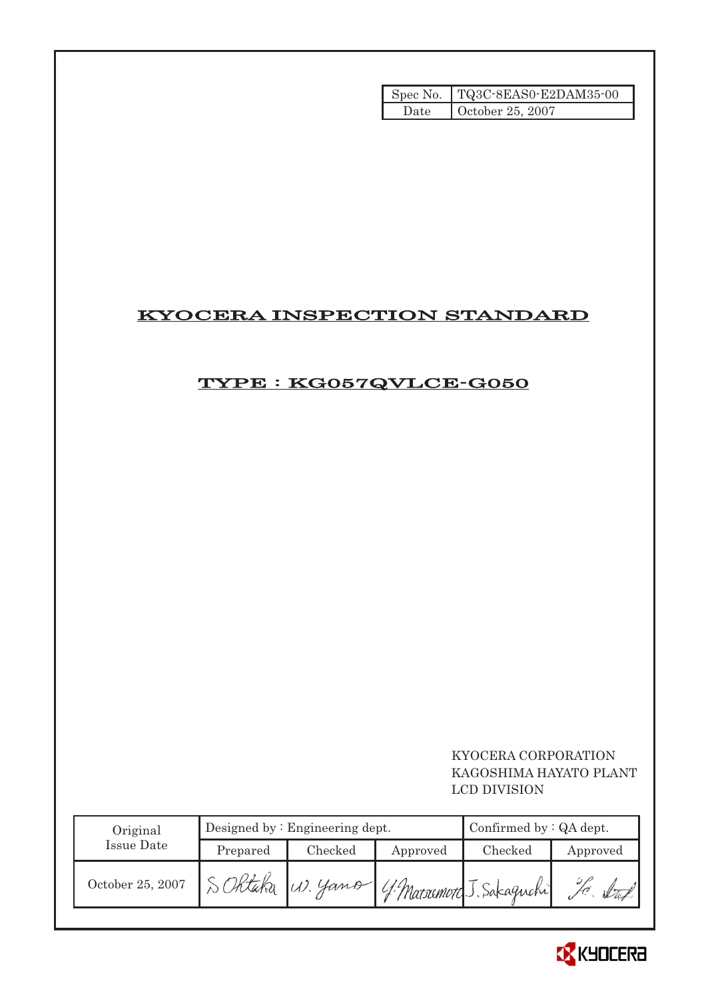|      | Spec No.   TQ3C-8EAS0-E2DAM35-00 |
|------|----------------------------------|
| Date | October 25, 2007                 |

# KYOCERA INSPECTION STANDARD

# TYPE : KG057QVLCE-G050

# KYOCERA CORPORATION KAGOSHIMA HAYATO PLANT LCD DIVISION

| Original         |          | Designed by $:$ Engineering dept. | Confirmed by $:QA$ dept. |                                    |          |
|------------------|----------|-----------------------------------|--------------------------|------------------------------------|----------|
| Issue Date       | Prepared | Checked                           | Approved                 | Checked                            | Approved |
| October 25, 2007 |          |                                   |                          | W. Yamo (4 Marsumoto J. Sakaguchi) |          |

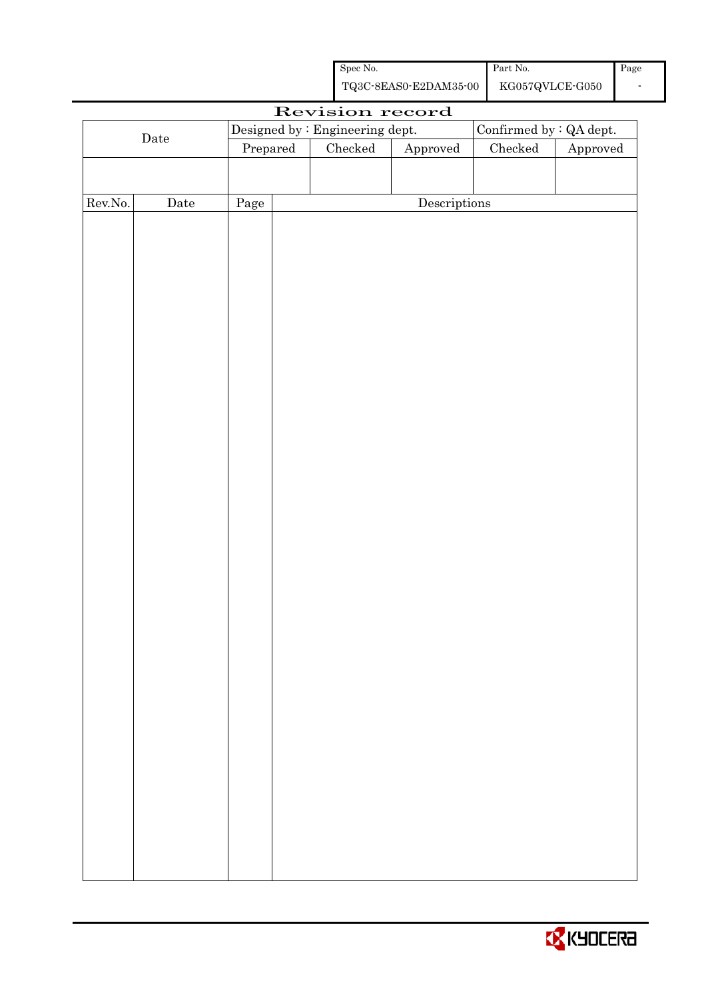| Spec No.              | Part No.        | Page |
|-----------------------|-----------------|------|
| TQ3C-8EAS0-E2DAM35-00 | KG057QVLCE-G050 |      |

| Revision record |             |          |  |                                 |                        |                         |          |
|-----------------|-------------|----------|--|---------------------------------|------------------------|-------------------------|----------|
|                 |             |          |  | Designed by : Engineering dept. |                        | Confirmed by : QA dept. |          |
|                 | $\rm{Date}$ | Prepared |  | Checked                         | ${\Large\bf Approved}$ | $\rm Checked$           | Approved |
|                 |             |          |  |                                 |                        |                         |          |
|                 |             |          |  |                                 |                        |                         |          |
| Rev.No.         | $\rm{Date}$ | Page     |  |                                 | Descriptions           |                         |          |
|                 |             |          |  |                                 |                        |                         |          |
|                 |             |          |  |                                 |                        |                         |          |
|                 |             |          |  |                                 |                        |                         |          |
|                 |             |          |  |                                 |                        |                         |          |
|                 |             |          |  |                                 |                        |                         |          |
|                 |             |          |  |                                 |                        |                         |          |
|                 |             |          |  |                                 |                        |                         |          |
|                 |             |          |  |                                 |                        |                         |          |
|                 |             |          |  |                                 |                        |                         |          |
|                 |             |          |  |                                 |                        |                         |          |
|                 |             |          |  |                                 |                        |                         |          |
|                 |             |          |  |                                 |                        |                         |          |
|                 |             |          |  |                                 |                        |                         |          |
|                 |             |          |  |                                 |                        |                         |          |
|                 |             |          |  |                                 |                        |                         |          |
|                 |             |          |  |                                 |                        |                         |          |
|                 |             |          |  |                                 |                        |                         |          |
|                 |             |          |  |                                 |                        |                         |          |
|                 |             |          |  |                                 |                        |                         |          |
|                 |             |          |  |                                 |                        |                         |          |
|                 |             |          |  |                                 |                        |                         |          |
|                 |             |          |  |                                 |                        |                         |          |
|                 |             |          |  |                                 |                        |                         |          |
|                 |             |          |  |                                 |                        |                         |          |
|                 |             |          |  |                                 |                        |                         |          |
|                 |             |          |  |                                 |                        |                         |          |
|                 |             |          |  |                                 |                        |                         |          |
|                 |             |          |  |                                 |                        |                         |          |
|                 |             |          |  |                                 |                        |                         |          |
|                 |             |          |  |                                 |                        |                         |          |
|                 |             |          |  |                                 |                        |                         |          |
|                 |             |          |  |                                 |                        |                         |          |
|                 |             |          |  |                                 |                        |                         |          |
|                 |             |          |  |                                 |                        |                         |          |
|                 |             |          |  |                                 |                        |                         |          |
|                 |             |          |  |                                 |                        |                         |          |

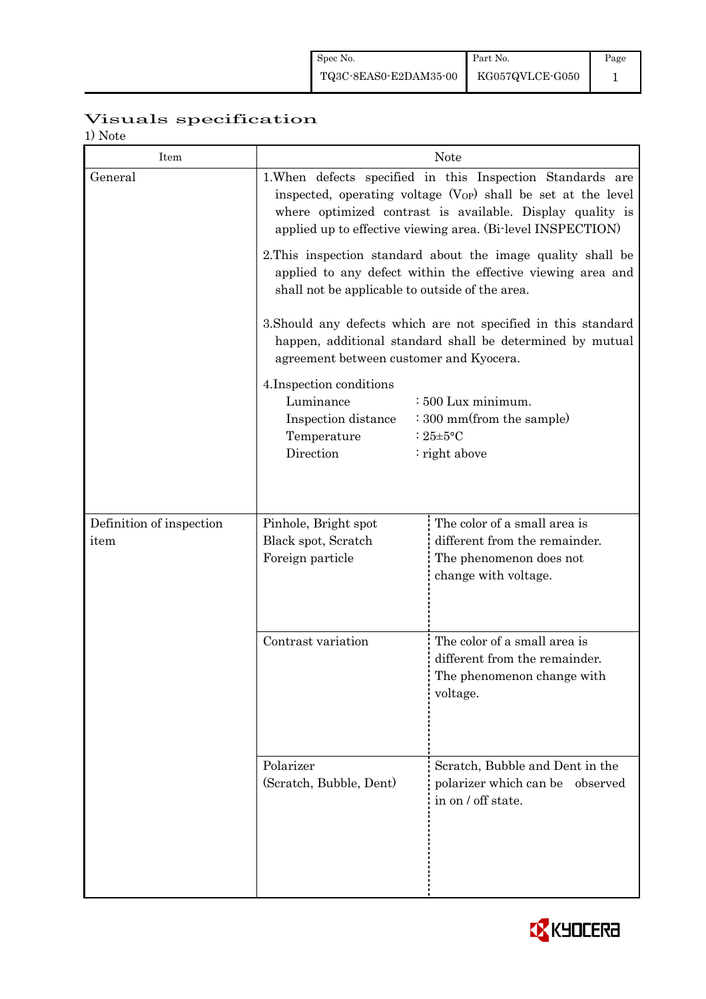# Visuals specification

1) Note

| Item                     | <b>Note</b>                                                                                                                                                                                                                                                 |                                                                                                                             |  |  |  |  |
|--------------------------|-------------------------------------------------------------------------------------------------------------------------------------------------------------------------------------------------------------------------------------------------------------|-----------------------------------------------------------------------------------------------------------------------------|--|--|--|--|
| General                  | 1. When defects specified in this Inspection Standards are<br>inspected, operating voltage $(V_{OP})$ shall be set at the level<br>where optimized contrast is available. Display quality is<br>applied up to effective viewing area. (Bi-level INSPECTION) |                                                                                                                             |  |  |  |  |
|                          | 2. This inspection standard about the image quality shall be<br>applied to any defect within the effective viewing area and<br>shall not be applicable to outside of the area.                                                                              |                                                                                                                             |  |  |  |  |
|                          | agreement between customer and Kyocera.                                                                                                                                                                                                                     | 3. Should any defects which are not specified in this standard<br>happen, additional standard shall be determined by mutual |  |  |  |  |
|                          | 4. Inspection conditions<br>Luminance<br>$\div 500$ Lux minimum.<br>Inspection distance<br>: 300 mm(from the sample)<br>Temperature<br>: $25 \pm 5$ °C<br>Direction<br>$:$ right above                                                                      |                                                                                                                             |  |  |  |  |
| Definition of inspection | Pinhole, Bright spot                                                                                                                                                                                                                                        | The color of a small area is                                                                                                |  |  |  |  |
| item                     | Black spot, Scratch<br>Foreign particle                                                                                                                                                                                                                     | different from the remainder.<br>The phenomenon does not<br>change with voltage.                                            |  |  |  |  |
|                          | Contrast variation                                                                                                                                                                                                                                          | The color of a small area is<br>different from the remainder.<br>The phenomenon change with<br>voltage.                     |  |  |  |  |
|                          | Polarizer<br>(Scratch, Bubble, Dent)                                                                                                                                                                                                                        | Scratch, Bubble and Dent in the<br>polarizer which can be observed<br>in on / off state.                                    |  |  |  |  |

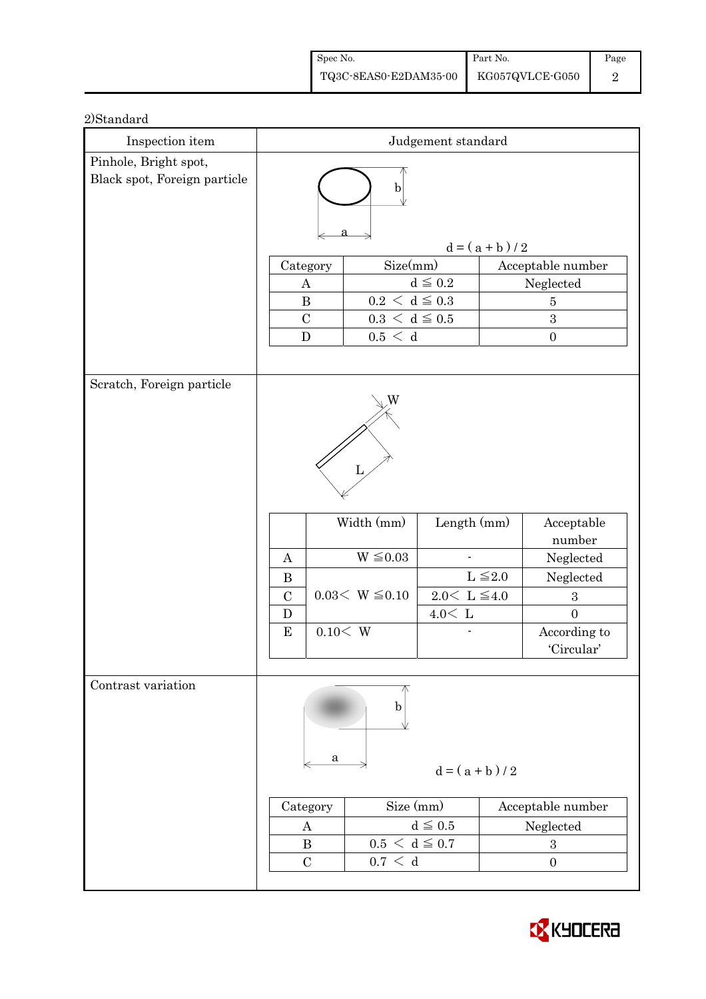| Spec No.                                                                                         | Part No. | Page |
|--------------------------------------------------------------------------------------------------|----------|------|
| $\left. {\rm TQ3C\text{-}SEAS0\text{-}E2DAM35\text{-}00} \right  {\rm - KG057QVLCE\text{-}G050}$ |          |      |

| Inspection item                                       | Judgement standard                                |                                                            |                         |                   |                            |  |
|-------------------------------------------------------|---------------------------------------------------|------------------------------------------------------------|-------------------------|-------------------|----------------------------|--|
| Pinhole, Bright spot,<br>Black spot, Foreign particle | $\mathbf b$                                       |                                                            |                         |                   |                            |  |
|                                                       | $d = (a + b) / 2$                                 |                                                            |                         |                   |                            |  |
|                                                       | Size(mm)<br>Category                              |                                                            |                         | Acceptable number |                            |  |
|                                                       | $\boldsymbol{A}$                                  |                                                            | $d\leqq0.2$             |                   | Neglected                  |  |
|                                                       | $\, {\bf B}$                                      | $0.2\,<\,\mathrm{d}\leq0.3$<br>$0.3\,<\,\mathrm{d}\leq0.5$ |                         |                   | $\overline{5}$             |  |
|                                                       | $\mathcal{C}$                                     |                                                            |                         |                   | 3                          |  |
|                                                       | ${\bf D}$                                         | 0.5 < d                                                    |                         |                   | $\boldsymbol{0}$           |  |
| Scratch, Foreign particle                             |                                                   |                                                            |                         |                   |                            |  |
|                                                       |                                                   |                                                            |                         |                   |                            |  |
|                                                       |                                                   | Width (mm)                                                 | Length $(mm)$           |                   | Acceptable<br>number       |  |
|                                                       | $\mathbf{A}$                                      | $W \leq 0.03$                                              |                         |                   | Neglected                  |  |
|                                                       | $\bf{B}$                                          |                                                            |                         | $L \leq 2.0$      | Neglected                  |  |
|                                                       | $\mathcal{C}$                                     | $0.03< W \leq 0.10$                                        | $2.0<\,$ L $\leqq\!4.0$ |                   | $\boldsymbol{3}$           |  |
|                                                       | D                                                 |                                                            | $4.0<\,$ L              |                   | $\overline{0}$             |  |
|                                                       | ${\bf E}$                                         | 0.10 < W                                                   |                         |                   | According to<br>'Circular' |  |
|                                                       |                                                   |                                                            |                         |                   |                            |  |
| Contrast variation                                    | a                                                 | b                                                          | $d = (a + b)/2$         |                   |                            |  |
|                                                       | Category                                          | Size (mm)                                                  |                         | Acceptable number |                            |  |
|                                                       | A                                                 |                                                            | $d \leq 0.5$            |                   | Neglected                  |  |
|                                                       | $\bf{B}$                                          | $0.5 < d \leq 0.7$                                         |                         | $\sqrt{3}$        |                            |  |
|                                                       | $0.7\,<\,$ d<br>$\mathcal{C}$<br>$\boldsymbol{0}$ |                                                            |                         |                   |                            |  |

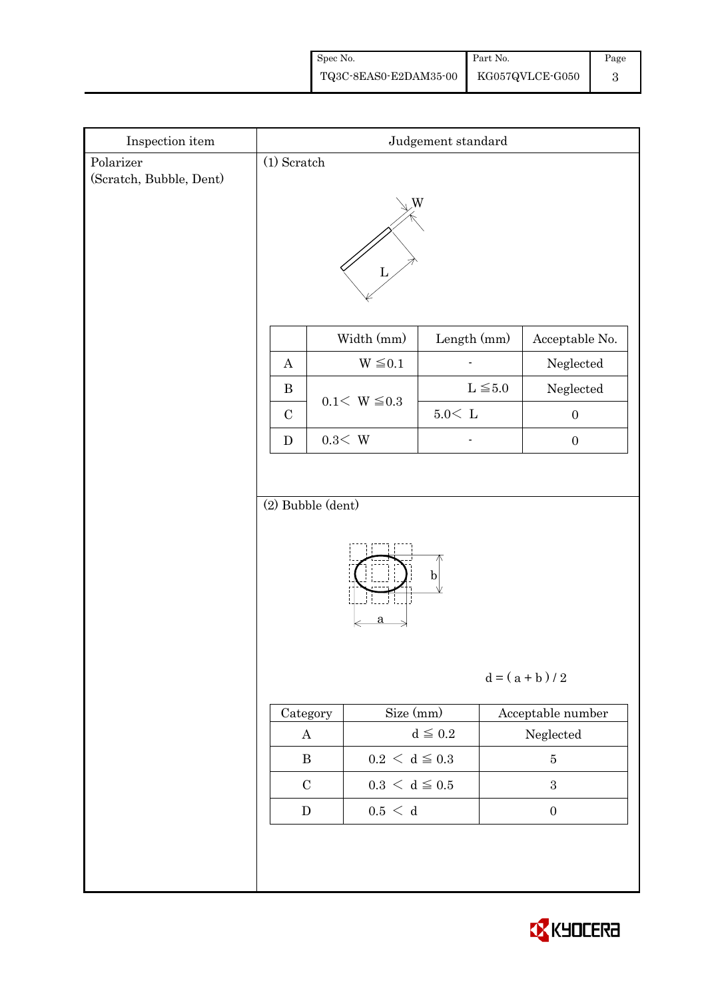| Spec No.                              | Part No. | Page |
|---------------------------------------|----------|------|
| TQ3C-8EAS0-E2DAM35-00 KG057QVLCE-G050 |          |      |

| $\!$ Inspection item    | Judgement standard                                  |                             |              |                      |  |  |
|-------------------------|-----------------------------------------------------|-----------------------------|--------------|----------------------|--|--|
| Polarizer               | $(1)$ Scratch                                       |                             |              |                      |  |  |
| (Scratch, Bubble, Dent) | W<br>Ъ                                              |                             |              |                      |  |  |
|                         |                                                     | Width (mm)                  | Length (mm)  | Acceptable No.       |  |  |
|                         | $\boldsymbol{A}$                                    | $W \leq 0.1$                |              | Neglected            |  |  |
|                         | $\, {\bf B}$                                        | $0.1 < W \le 0.3$           | $L \leq 5.0$ | ${\hbox{Neglected}}$ |  |  |
|                         | $\mathcal{C}$                                       |                             | $5.0\rm <$ L | $\boldsymbol{0}$     |  |  |
|                         | ${\bf D}$                                           | $0.3\rm\!<\,W$              |              | $\boldsymbol{0}$     |  |  |
|                         | (2) Bubble (dent)<br>$\mathbf b$<br>$d = (a + b)/2$ |                             |              |                      |  |  |
|                         | Size (mm)<br>Category                               |                             |              | Acceptable number    |  |  |
|                         | $\bf{A}$                                            |                             | $d\leqq0.2$  | ${\bf Neglected}$    |  |  |
|                         | $\, {\bf B}$                                        | $0.2\,<\,\mathrm{d}\leq0.3$ |              | $\bf 5$              |  |  |
|                         | $\mathbf C$                                         | $0.3\,<\,\mathrm{d}\leq0.5$ |              | $\sqrt{3}$           |  |  |
|                         | ${\bf D}$                                           | $0.5\,<\,$ d                |              | $\boldsymbol{0}$     |  |  |
|                         |                                                     |                             |              |                      |  |  |